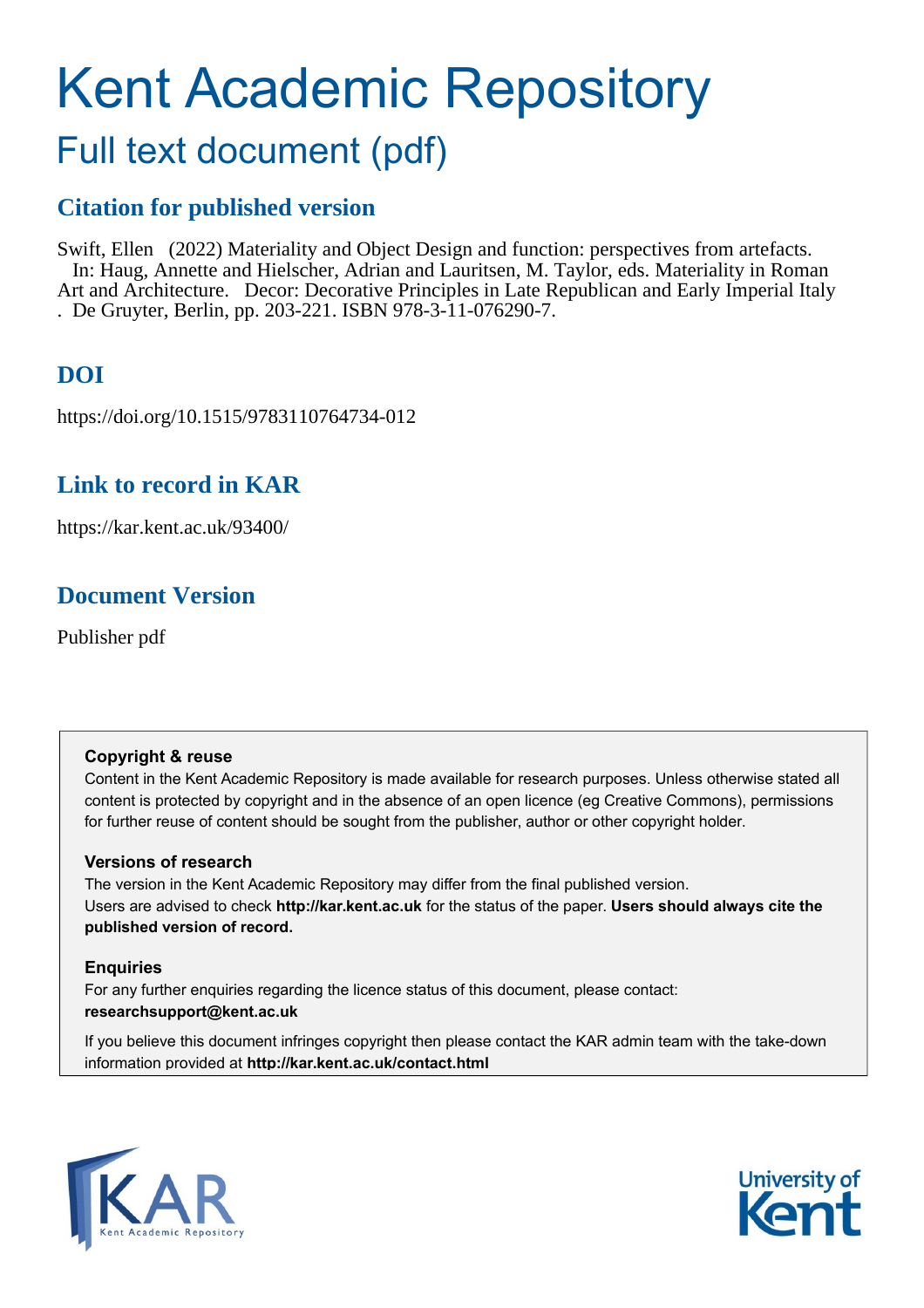# Kent Academic Repository

## Full text document (pdf)

### **Citation for published version**

Swift, Ellen (2022) Materiality and Object Design and function: perspectives from artefacts. In: Haug, Annette and Hielscher, Adrian and Lauritsen, M. Taylor, eds. Materiality in Roman Art and Architecture. Decor: Decorative Principles in Late Republican and Early Imperial Italy . De Gruyter, Berlin, pp. 203-221. ISBN 978-3-11-076290-7.

## **DOI**

https://doi.org/10.1515/9783110764734-012

#### **Link to record in KAR**

https://kar.kent.ac.uk/93400/

#### **Document Version**

Publisher pdf

#### **Copyright & reuse**

Content in the Kent Academic Repository is made available for research purposes. Unless otherwise stated all content is protected by copyright and in the absence of an open licence (eg Creative Commons), permissions for further reuse of content should be sought from the publisher, author or other copyright holder.

#### **Versions of research**

The version in the Kent Academic Repository may differ from the final published version. Users are advised to check **http://kar.kent.ac.uk** for the status of the paper. **Users should always cite the published version of record.**

#### **Enquiries**

For any further enquiries regarding the licence status of this document, please contact: **researchsupport@kent.ac.uk**

If you believe this document infringes copyright then please contact the KAR admin team with the take-down information provided at **http://kar.kent.ac.uk/contact.html**



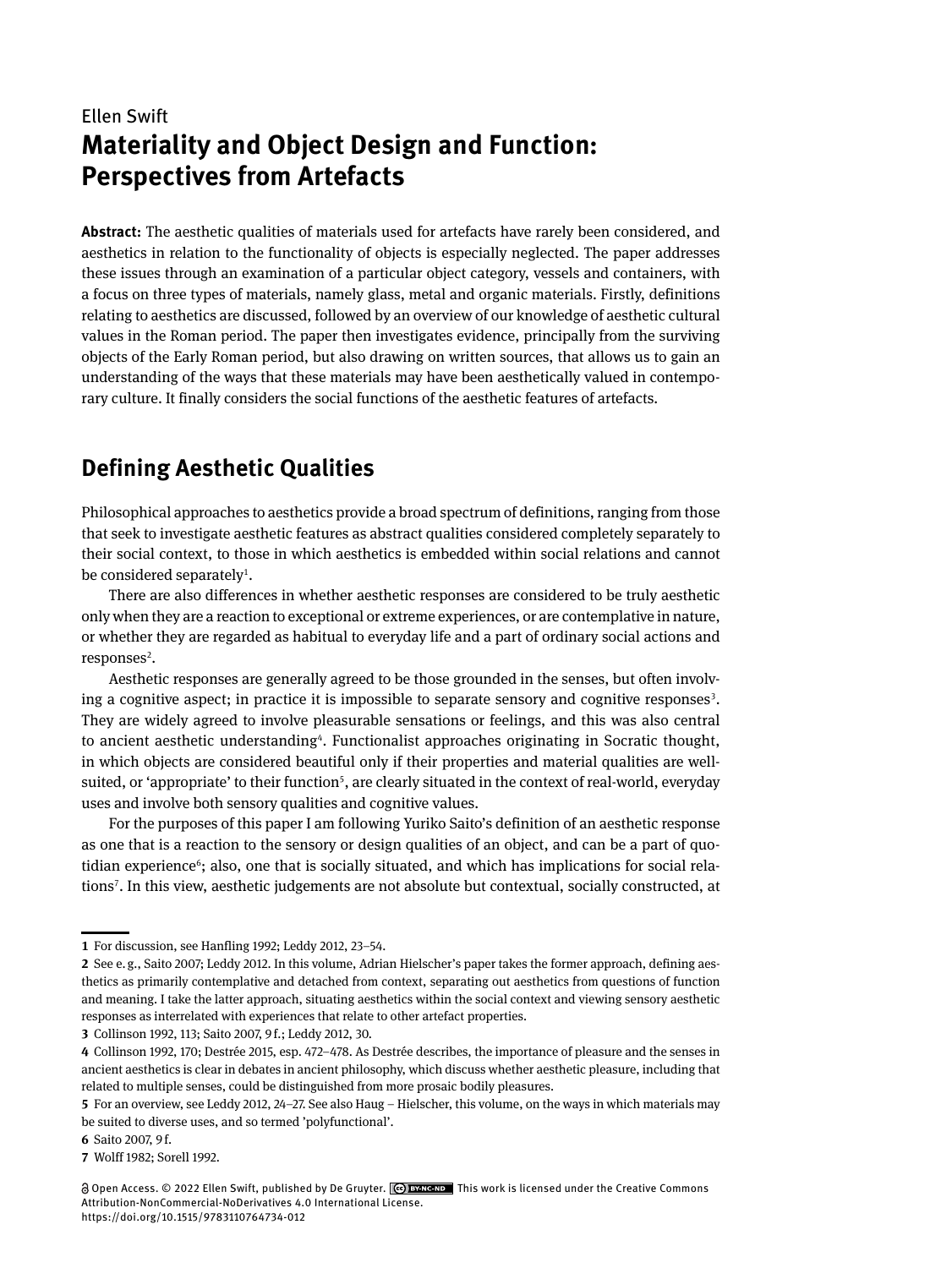#### Ellen Swift **Materiality and Object Design and Function: Perspectives from Artefacts**

**Abstract:** The aesthetic qualities of materials used for artefacts have rarely been considered, and aesthetics in relation to the functionality of objects is especially neglected. The paper addresses these issues through an examination of a particular object category, vessels and containers, with a focus on three types of materials, namely glass, metal and organic materials. Firstly, definitions relating to aesthetics are discussed, followed by an overview of our knowledge of aesthetic cultural values in the Roman period. The paper then investigates evidence, principally from the surviving objects of the Early Roman period, but also drawing on written sources, that allows us to gain an understanding of the ways that these materials may have been aesthetically valued in contemporary culture. It finally considers the social functions of the aesthetic features of artefacts.

#### **Defining Aesthetic Qualities**

Philosophical approaches to aesthetics provide a broad spectrum of definitions, ranging from those that seek to investigate aesthetic features as abstract qualities considered completely separately to their social context, to those in which aesthetics is embedded within social relations and cannot be considered separately<sup>1</sup>.

There are also differences in whether aesthetic responses are considered to be truly aesthetic only when they are a reaction to exceptional or extreme experiences, or are contemplative in nature, or whether they are regarded as habitual to everyday life and a part of ordinary social actions and responses<sup>2</sup>.

Aesthetic responses are generally agreed to be those grounded in the senses, but often involving a cognitive aspect; in practice it is impossible to separate sensory and cognitive responses<sup>3</sup>. They are widely agreed to involve pleasurable sensations or feelings, and this was also central to ancient aesthetic understanding<sup>4</sup>. Functionalist approaches originating in Socratic thought, in which objects are considered beautiful only if their properties and material qualities are wellsuited, or 'appropriate' to their function<sup>5</sup>, are clearly situated in the context of real-world, everyday uses and involve both sensory qualities and cognitive values.

For the purposes of this paper I am following Yuriko Saito's definition of an aesthetic response as one that is a reaction to the sensory or design qualities of an object, and can be a part of quotidian experience<sup>6</sup>; also, one that is socially situated, and which has implications for social relations7. In this view, aesthetic judgements are not absolute but contextual, socially constructed, at

**<sup>1</sup>** For discussion, see Hanfling 1992; Leddy 2012, 23–54.

**<sup>2</sup>** See e. g., Saito 2007; Leddy 2012. In this volume, Adrian Hielscher's paper takes the former approach, defining aesthetics as primarily contemplative and detached from context, separating out aesthetics from questions of function and meaning. I take the latter approach, situating aesthetics within the social context and viewing sensory aesthetic responses as interrelated with experiences that relate to other artefact properties.

**<sup>3</sup>** Collinson 1992, 113; Saito 2007, 9 f.; Leddy 2012, 30.

**<sup>4</sup>** Collinson 1992, 170; Destrée 2015, esp. 472–478. As Destrée describes, the importance of pleasure and the senses in ancient aesthetics is clear in debates in ancient philosophy, which discuss whether aesthetic pleasure, including that related to multiple senses, could be distinguished from more prosaic bodily pleasures.

**<sup>5</sup>** For an overview, see Leddy 2012, 24–27. See also Haug – Hielscher, this volume, on the ways in which materials may be suited to diverse uses, and so termed 'polyfunctional'.

**<sup>6</sup>** Saito 2007, 9 f.

**<sup>7</sup>** Wolff 1982; Sorell 1992.

Open Access. © 2022 Ellen Swift, published by De Gruyter. This work is licensed under the Creative Commons Attribution-NonCommercial-NoDerivatives 4.0 International License. <https://doi.org/10.1515/9783110764734-012>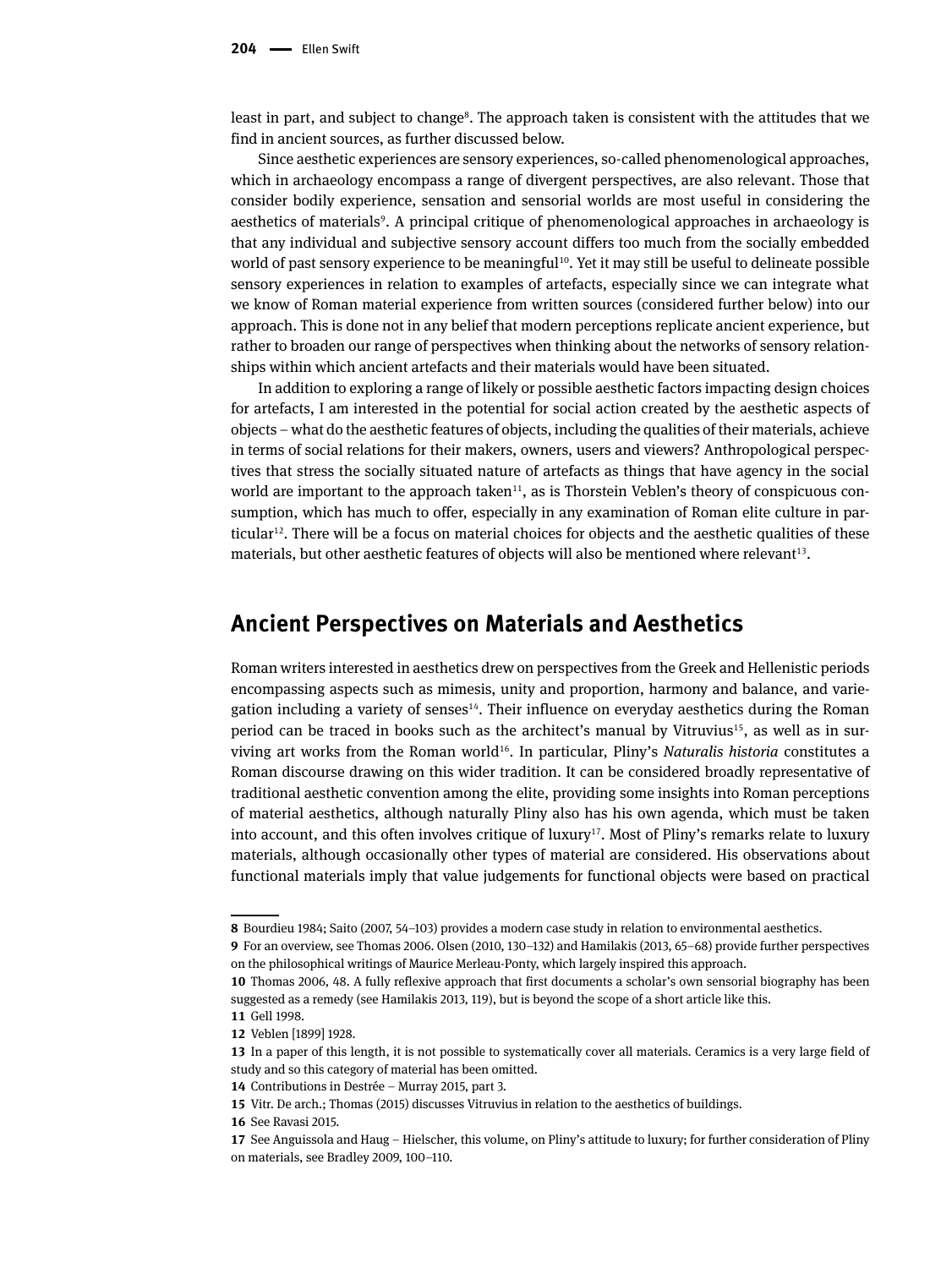least in part, and subject to change<sup>8</sup>. The approach taken is consistent with the attitudes that we find in ancient sources, as further discussed below.

Since aesthetic experiences are sensory experiences, so-called phenomenological approaches, which in archaeology encompass a range of divergent perspectives, are also relevant. Those that consider bodily experience, sensation and sensorial worlds are most useful in considering the aesthetics of materials<sup>9</sup>. A principal critique of phenomenological approaches in archaeology is that any individual and subjective sensory account differs too much from the socially embedded world of past sensory experience to be meaningful<sup>10</sup>. Yet it may still be useful to delineate possible sensory experiences in relation to examples of artefacts, especially since we can integrate what we know of Roman material experience from written sources (considered further below) into our approach. This is done not in any belief that modern perceptions replicate ancient experience, but rather to broaden our range of perspectives when thinking about the networks of sensory relationships within which ancient artefacts and their materials would have been situated.

In addition to exploring a range of likely or possible aesthetic factors impacting design choices for artefacts, I am interested in the potential for social action created by the aesthetic aspects of objects – what do the aesthetic features of objects, including the qualities of their materials, achieve in terms of social relations for their makers, owners, users and viewers? Anthropological perspectives that stress the socially situated nature of artefacts as things that have agency in the social world are important to the approach taken<sup>11</sup>, as is Thorstein Veblen's theory of conspicuous consumption, which has much to offer, especially in any examination of Roman elite culture in particular<sup>12</sup>. There will be a focus on material choices for objects and the aesthetic qualities of these materials, but other aesthetic features of objects will also be mentioned where relevant<sup>13</sup>.

#### **Ancient Perspectives on Materials and Aesthetics**

Roman writers interested in aesthetics drew on perspectives from the Greek and Hellenistic periods encompassing aspects such as mimesis, unity and proportion, harmony and balance, and variegation including a variety of senses<sup>14</sup>. Their influence on everyday aesthetics during the Roman period can be traced in books such as the architect's manual by Vitruvius<sup>15</sup>, as well as in surviving art works from the Roman world16. In particular, Pliny's *Naturalis historia* constitutes a Roman discourse drawing on this wider tradition. It can be considered broadly representative of traditional aesthetic convention among the elite, providing some insights into Roman perceptions of material aesthetics, although naturally Pliny also has his own agenda, which must be taken into account, and this often involves critique of luxury<sup>17</sup>. Most of Pliny's remarks relate to luxury materials, although occasionally other types of material are considered. His observations about functional materials imply that value judgements for functional objects were based on practical

**10** Thomas 2006, 48. A fully reflexive approach that first documents a scholar's own sensorial biography has been suggested as a remedy (see Hamilakis 2013, 119), but is beyond the scope of a short article like this.

**<sup>8</sup>** Bourdieu 1984; Saito (2007, 54–103) provides a modern case study in relation to environmental aesthetics.

**<sup>9</sup>** For an overview, see Thomas 2006. Olsen (2010, 130–132) and Hamilakis (2013, 65–68) provide further perspectives on the philosophical writings of Maurice Merleau-Ponty, which largely inspired this approach.

**<sup>11</sup>** Gell 1998.

**<sup>12</sup>** Veblen [1899] 1928.

**<sup>13</sup>** In a paper of this length, it is not possible to systematically cover all materials. Ceramics is a very large field of study and so this category of material has been omitted.

**<sup>14</sup>** Contributions in Destrée – Murray 2015, part 3.

**<sup>15</sup>** Vitr. De arch.; Thomas (2015) discusses Vitruvius in relation to the aesthetics of buildings.

**<sup>16</sup>** See Ravasi 2015.

**<sup>17</sup>** See Anguissola and Haug – Hielscher, this volume, on Pliny's attitude to luxury; for further consideration of Pliny on materials, see Bradley 2009, 100–110.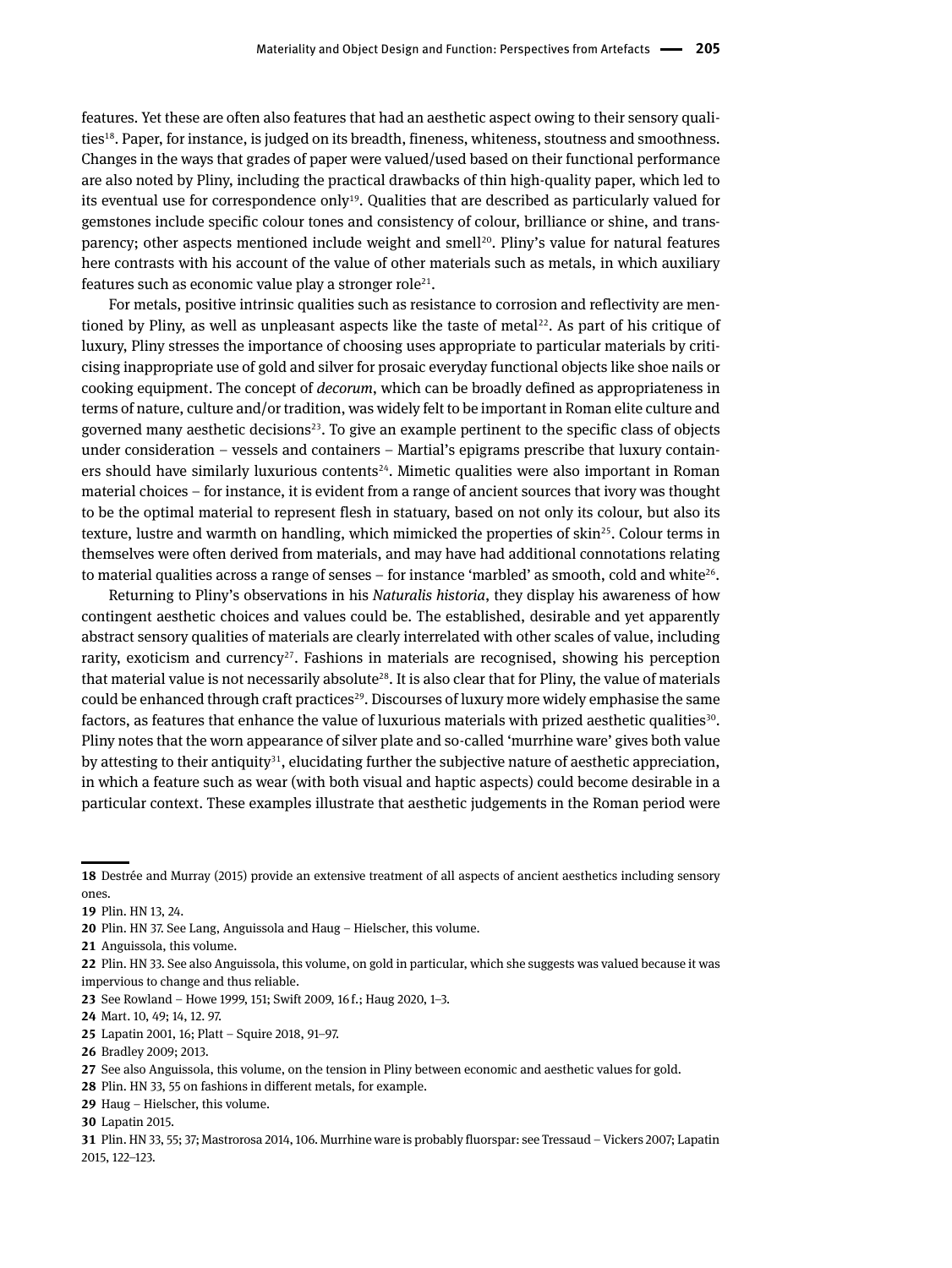features. Yet these are often also features that had an aesthetic aspect owing to their sensory qualities18. Paper, for instance, is judged on its breadth, fineness, whiteness, stoutness and smoothness. Changes in the ways that grades of paper were valued/used based on their functional performance are also noted by Pliny, including the practical drawbacks of thin high-quality paper, which led to its eventual use for correspondence only<sup>19</sup>. Qualities that are described as particularly valued for gemstones include specific colour tones and consistency of colour, brilliance or shine, and transparency; other aspects mentioned include weight and smell<sup>20</sup>. Pliny's value for natural features here contrasts with his account of the value of other materials such as metals, in which auxiliary features such as economic value play a stronger role<sup>21</sup>.

For metals, positive intrinsic qualities such as resistance to corrosion and reflectivity are mentioned by Pliny, as well as unpleasant aspects like the taste of metal<sup>22</sup>. As part of his critique of luxury, Pliny stresses the importance of choosing uses appropriate to particular materials by criticising inappropriate use of gold and silver for prosaic everyday functional objects like shoe nails or cooking equipment. The concept of *decorum*, which can be broadly defined as appropriateness in terms of nature, culture and/or tradition, was widely felt to be important in Roman elite culture and governed many aesthetic decisions<sup>23</sup>. To give an example pertinent to the specific class of objects under consideration – vessels and containers – Martial's epigrams prescribe that luxury containers should have similarly luxurious contents<sup>24</sup>. Mimetic qualities were also important in Roman material choices – for instance, it is evident from a range of ancient sources that ivory was thought to be the optimal material to represent flesh in statuary, based on not only its colour, but also its texture, lustre and warmth on handling, which mimicked the properties of skin<sup>25</sup>. Colour terms in themselves were often derived from materials, and may have had additional connotations relating to material qualities across a range of senses – for instance 'marbled' as smooth, cold and white $^{26}$ .

Returning to Pliny's observations in his *Naturalis historia*, they display his awareness of how contingent aesthetic choices and values could be. The established, desirable and yet apparently abstract sensory qualities of materials are clearly interrelated with other scales of value, including rarity, exoticism and currency<sup> $27$ </sup>. Fashions in materials are recognised, showing his perception that material value is not necessarily absolute<sup>28</sup>. It is also clear that for Pliny, the value of materials could be enhanced through craft practices<sup>29</sup>. Discourses of luxury more widely emphasise the same factors, as features that enhance the value of luxurious materials with prized aesthetic qualities $30$ . Pliny notes that the worn appearance of silver plate and so-called 'murrhine ware' gives both value by attesting to their antiquity<sup>31</sup>, elucidating further the subjective nature of aesthetic appreciation, in which a feature such as wear (with both visual and haptic aspects) could become desirable in a particular context. These examples illustrate that aesthetic judgements in the Roman period were

**<sup>18</sup>** Destrée and Murray (2015) provide an extensive treatment of all aspects of ancient aesthetics including sensory ones.

**<sup>19</sup>** Plin. HN 13, 24.

**<sup>20</sup>** Plin. HN 37. See Lang, Anguissola and Haug – Hielscher, this volume.

**<sup>21</sup>** Anguissola, this volume.

**<sup>22</sup>** Plin. HN 33. See also Anguissola, this volume, on gold in particular, which she suggests was valued because it was impervious to change and thus reliable.

**<sup>23</sup>** See Rowland – Howe 1999, 151; Swift 2009, 16 f.; Haug 2020, 1–3.

**<sup>24</sup>** Mart. 10, 49; 14, 12. 97.

**<sup>25</sup>** Lapatin 2001, 16; Platt – Squire 2018, 91–97.

**<sup>26</sup>** Bradley 2009; 2013.

**<sup>27</sup>** See also Anguissola, this volume, on the tension in Pliny between economic and aesthetic values for gold.

**<sup>28</sup>** Plin. HN 33, 55 on fashions in different metals, for example.

**<sup>29</sup>** Haug – Hielscher, this volume.

**<sup>30</sup>** Lapatin 2015.

**<sup>31</sup>** Plin. HN 33, 55; 37; Mastrorosa 2014, 106. Murrhine ware is probably fluorspar: see Tressaud – Vickers 2007; Lapatin 2015, 122–123.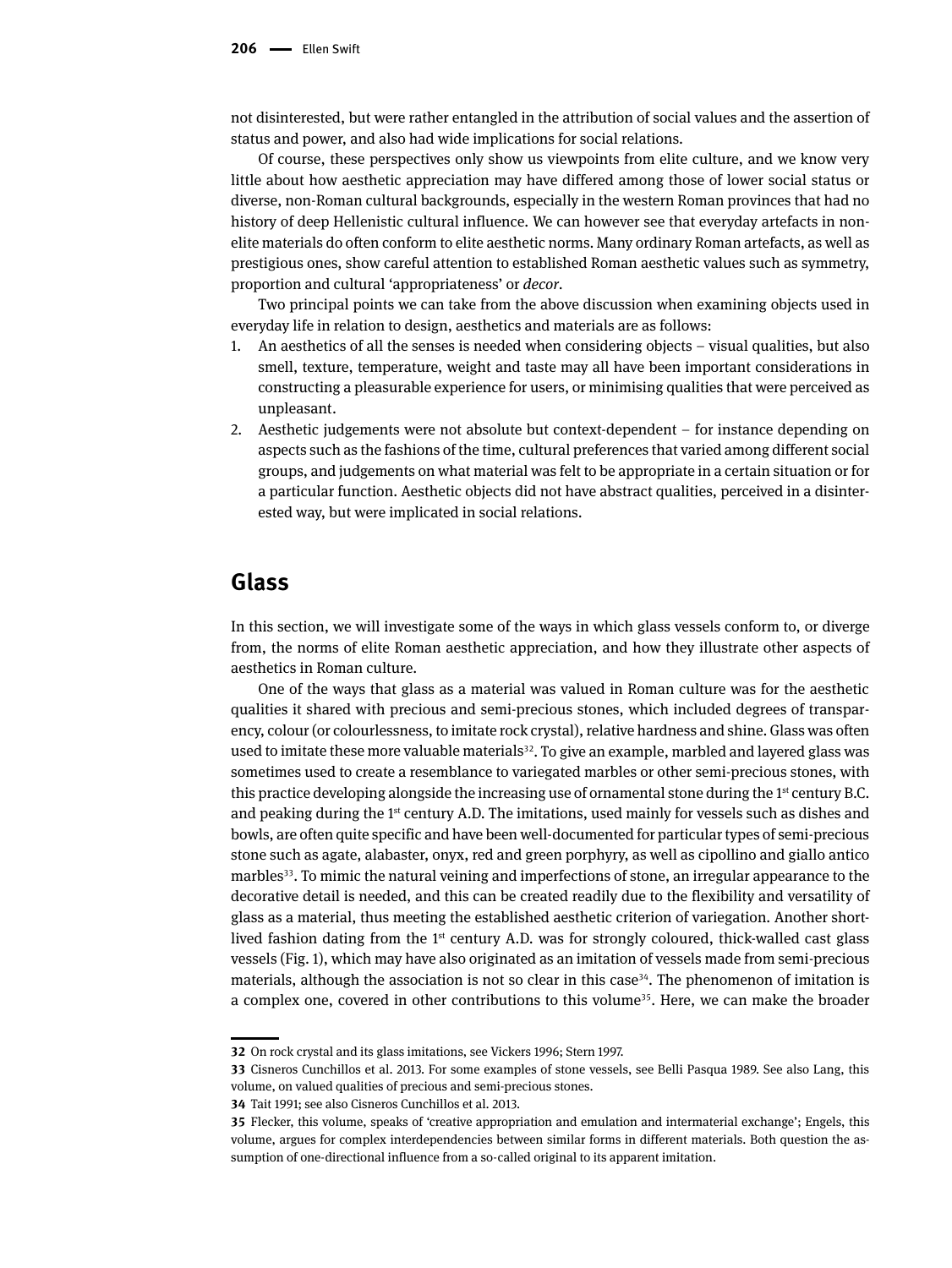not disinterested, but were rather entangled in the attribution of social values and the assertion of status and power, and also had wide implications for social relations.

Of course, these perspectives only show us viewpoints from elite culture, and we know very little about how aesthetic appreciation may have differed among those of lower social status or diverse, non-Roman cultural backgrounds, especially in the western Roman provinces that had no history of deep Hellenistic cultural influence. We can however see that everyday artefacts in nonelite materials do often conform to elite aesthetic norms. Many ordinary Roman artefacts, as well as prestigious ones, show careful attention to established Roman aesthetic values such as symmetry, proportion and cultural 'appropriateness' or *decor*.

Two principal points we can take from the above discussion when examining objects used in everyday life in relation to design, aesthetics and materials are as follows:

- 1. An aesthetics of all the senses is needed when considering objects visual qualities, but also smell, texture, temperature, weight and taste may all have been important considerations in constructing a pleasurable experience for users, or minimising qualities that were perceived as unpleasant.
- 2. Aesthetic judgements were not absolute but context-dependent for instance depending on aspects such as the fashions of the time, cultural preferences that varied among different social groups, and judgements on what material was felt to be appropriate in a certain situation or for a particular function. Aesthetic objects did not have abstract qualities, perceived in a disinterested way, but were implicated in social relations.

#### **Glass**

In this section, we will investigate some of the ways in which glass vessels conform to, or diverge from, the norms of elite Roman aesthetic appreciation, and how they illustrate other aspects of aesthetics in Roman culture.

One of the ways that glass as a material was valued in Roman culture was for the aesthetic qualities it shared with precious and semi-precious stones, which included degrees of transparency, colour (or colourlessness, to imitate rock crystal), relative hardness and shine. Glass was often used to imitate these more valuable materials<sup>32</sup>. To give an example, marbled and layered glass was sometimes used to create a resemblance to variegated marbles or other semi-precious stones, with this practice developing alongside the increasing use of ornamental stone during the  $1<sup>st</sup>$  century B.C. and peaking during the  $1<sup>st</sup>$  century A.D. The imitations, used mainly for vessels such as dishes and bowls, are often quite specific and have been well-documented for particular types of semi-precious stone such as agate, alabaster, onyx, red and green porphyry, as well as cipollino and giallo antico marbles<sup>33</sup>. To mimic the natural veining and imperfections of stone, an irregular appearance to the decorative detail is needed, and this can be created readily due to the flexibility and versatility of glass as a material, thus meeting the established aesthetic criterion of variegation. Another shortlived fashion dating from the 1<sup>st</sup> century A.D. was for strongly coloured, thick-walled cast glass vessels (Fig. 1), which may have also originated as an imitation of vessels made from semi-precious materials, although the association is not so clear in this case<sup>34</sup>. The phenomenon of imitation is a complex one, covered in other contributions to this volume<sup>35</sup>. Here, we can make the broader

**<sup>32</sup>** On rock crystal and its glass imitations, see Vickers 1996; Stern 1997.

**<sup>33</sup>** Cisneros Cunchillos et al. 2013. For some examples of stone vessels, see Belli Pasqua 1989. See also Lang, this volume, on valued qualities of precious and semi-precious stones.

**<sup>34</sup>** Tait 1991; see also Cisneros Cunchillos et al. 2013.

**<sup>35</sup>** Flecker, this volume, speaks of 'creative appropriation and emulation and intermaterial exchange'; Engels, this volume, argues for complex interdependencies between similar forms in different materials. Both question the assumption of one-directional influence from a so-called original to its apparent imitation.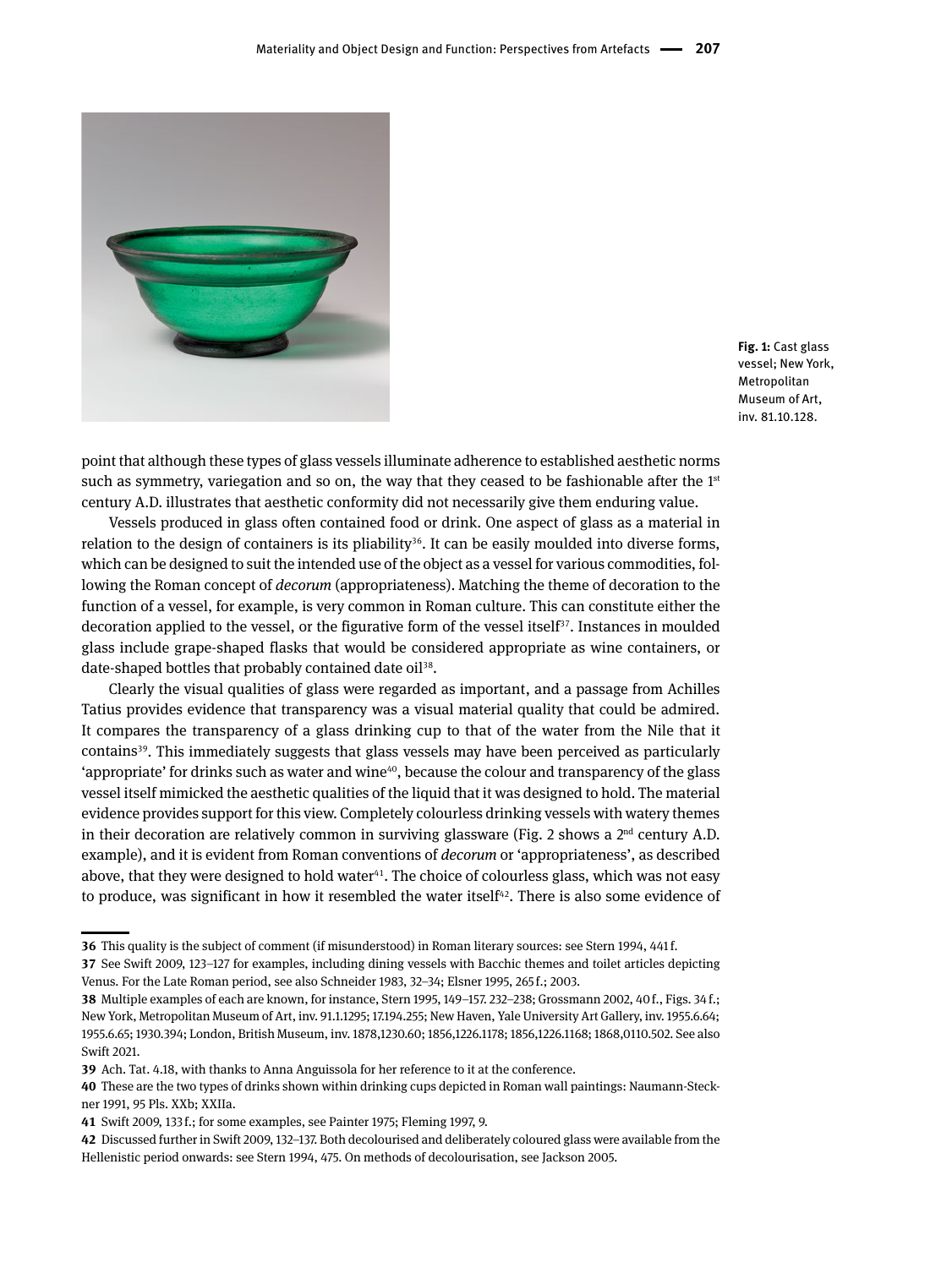

**Fig. 1:** Cast glass vessel; New York, Metropolitan Museum of Art, inv. 81.10.128.

point that although these types of glass vessels illuminate adherence to established aesthetic norms such as symmetry, variegation and so on, the way that they ceased to be fashionable after the  $1<sup>st</sup>$ century A.D. illustrates that aesthetic conformity did not necessarily give them enduring value.

Vessels produced in glass often contained food or drink. One aspect of glass as a material in relation to the design of containers is its pliability<sup>36</sup>. It can be easily moulded into diverse forms, which can be designed to suit the intended use of the object as a vessel for various commodities, following the Roman concept of *decorum* (appropriateness). Matching the theme of decoration to the function of a vessel, for example, is very common in Roman culture. This can constitute either the decoration applied to the vessel, or the figurative form of the vessel itself $37$ . Instances in moulded glass include grape-shaped flasks that would be considered appropriate as wine containers, or date-shaped bottles that probably contained date oil<sup>38</sup>.

Clearly the visual qualities of glass were regarded as important, and a passage from Achilles Tatius provides evidence that transparency was a visual material quality that could be admired. It compares the transparency of a glass drinking cup to that of the water from the Nile that it contains39. This immediately suggests that glass vessels may have been perceived as particularly 'appropriate' for drinks such as water and wine $40$ , because the colour and transparency of the glass vessel itself mimicked the aesthetic qualities of the liquid that it was designed to hold. The material evidence provides support for this view. Completely colourless drinking vessels with watery themes in their decoration are relatively common in surviving glassware (Fig. 2 shows a  $2<sup>nd</sup>$  century A.D. example), and it is evident from Roman conventions of *decorum* or 'appropriateness', as described above, that they were designed to hold water<sup>41</sup>. The choice of colourless glass, which was not easy to produce, was significant in how it resembled the water itself $42$ . There is also some evidence of

**<sup>36</sup>** This quality is the subject of comment (if misunderstood) in Roman literary sources: see Stern 1994, 441 f.

**<sup>37</sup>** See Swift 2009, 123–127 for examples, including dining vessels with Bacchic themes and toilet articles depicting Venus. For the Late Roman period, see also Schneider 1983, 32–34; Elsner 1995, 265 f.; 2003.

**<sup>38</sup>** Multiple examples of each are known, for instance, Stern 1995, 149–157. 232–238; Grossmann 2002, 40 f., Figs. 34 f.; New York, Metropolitan Museum of Art, inv. 91.1.1295; 17.194.255; New Haven, Yale University Art Gallery, inv. 1955.6.64; 1955.6.65; 1930.394; London, British Museum, inv. 1878,1230.60; 1856,1226.1178; 1856,1226.1168; 1868,0110.502. See also Swift 2021.

**<sup>39</sup>** Ach. Tat. 4.18, with thanks to Anna Anguissola for her reference to it at the conference.

**<sup>40</sup>** These are the two types of drinks shown within drinking cups depicted in Roman wall paintings: Naumann-Steckner 1991, 95 Pls. XXb; XXIIa.

**<sup>41</sup>** Swift 2009, 133 f.; for some examples, see Painter 1975; Fleming 1997, 9.

**<sup>42</sup>** Discussed further in Swift 2009, 132–137. Both decolourised and deliberately coloured glass were available from the Hellenistic period onwards: see Stern 1994, 475. On methods of decolourisation, see Jackson 2005.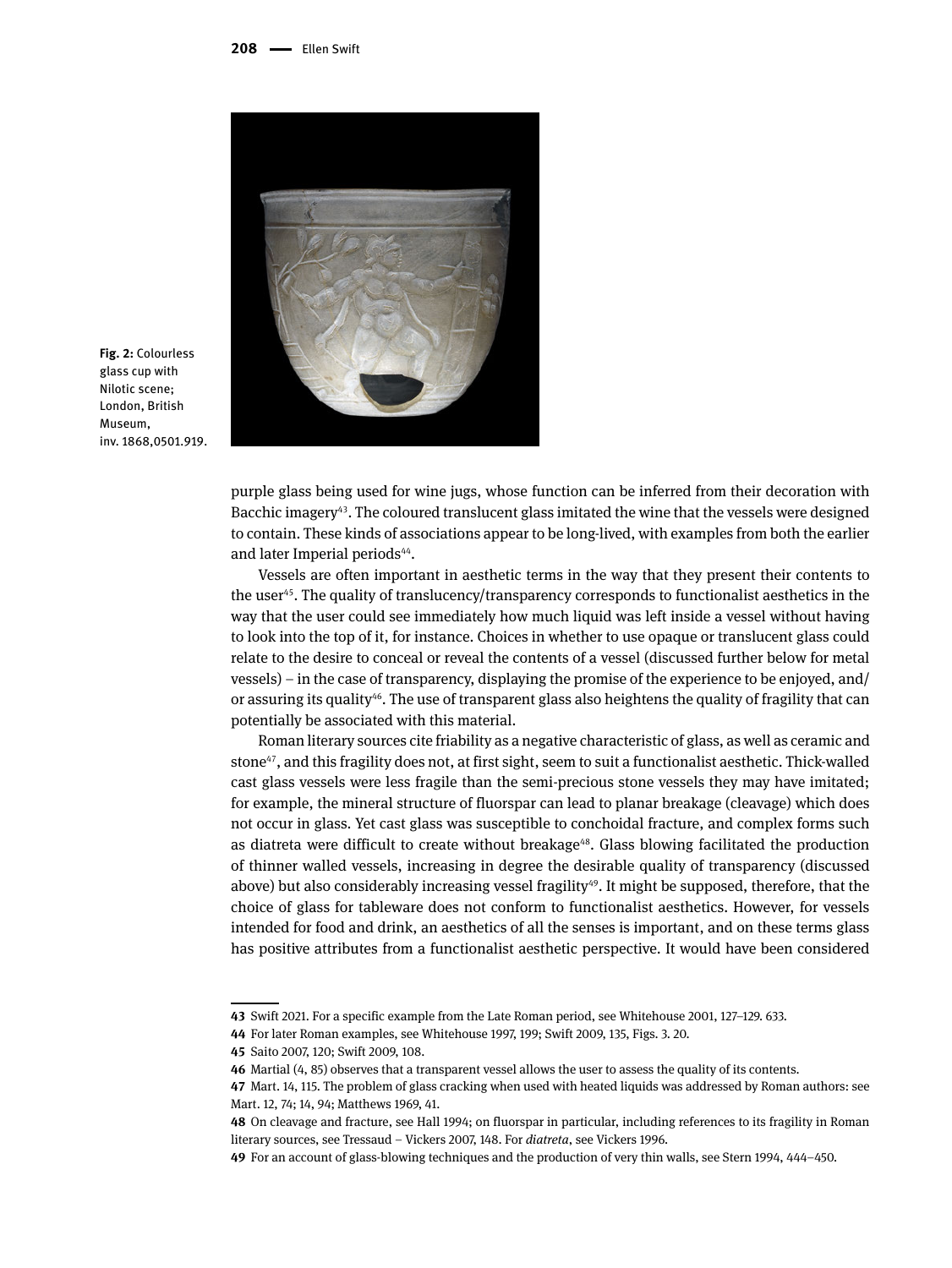

**Fig. 2:** Colourless glass cup with Nilotic scene; London, British Museum, inv. 1868,0501.919.

purple glass being used for wine jugs, whose function can be inferred from their decoration with Bacchic imagery<sup>43</sup>. The coloured translucent glass imitated the wine that the vessels were designed to contain. These kinds of associations appear to be long-lived, with examples from both the earlier and later Imperial periods<sup>44</sup>.

Vessels are often important in aesthetic terms in the way that they present their contents to the user45. The quality of translucency/transparency corresponds to functionalist aesthetics in the way that the user could see immediately how much liquid was left inside a vessel without having to look into the top of it, for instance. Choices in whether to use opaque or translucent glass could relate to the desire to conceal or reveal the contents of a vessel (discussed further below for metal vessels) – in the case of transparency, displaying the promise of the experience to be enjoyed, and/ or assuring its quality<sup>46</sup>. The use of transparent glass also heightens the quality of fragility that can potentially be associated with this material.

Roman literary sources cite friability as a negative characteristic of glass, as well as ceramic and stone<sup>47</sup>, and this fragility does not, at first sight, seem to suit a functionalist aesthetic. Thick-walled cast glass vessels were less fragile than the semi-precious stone vessels they may have imitated; for example, the mineral structure of fluorspar can lead to planar breakage (cleavage) which does not occur in glass. Yet cast glass was susceptible to conchoidal fracture, and complex forms such as diatreta were difficult to create without breakage<sup>48</sup>. Glass blowing facilitated the production of thinner walled vessels, increasing in degree the desirable quality of transparency (discussed above) but also considerably increasing vessel fragility<sup>49</sup>. It might be supposed, therefore, that the choice of glass for tableware does not conform to functionalist aesthetics. However, for vessels intended for food and drink, an aesthetics of all the senses is important, and on these terms glass has positive attributes from a functionalist aesthetic perspective. It would have been considered

**<sup>43</sup>** Swift 2021. For a specific example from the Late Roman period, see Whitehouse 2001, 127–129. 633.

**<sup>44</sup>** For later Roman examples, see Whitehouse 1997, 199; Swift 2009, 135, Figs. 3. 20.

**<sup>45</sup>** Saito 2007, 120; Swift 2009, 108.

**<sup>46</sup>** Martial (4, 85) observes that a transparent vessel allows the user to assess the quality of its contents.

**<sup>47</sup>** Mart. 14, 115. The problem of glass cracking when used with heated liquids was addressed by Roman authors: see Mart. 12, 74; 14, 94; Matthews 1969, 41.

**<sup>48</sup>** On cleavage and fracture, see Hall 1994; on fluorspar in particular, including references to its fragility in Roman literary sources, see Tressaud – Vickers 2007, 148. For *diatreta*, see Vickers 1996.

**<sup>49</sup>** For an account of glass-blowing techniques and the production of very thin walls, see Stern 1994, 444–450.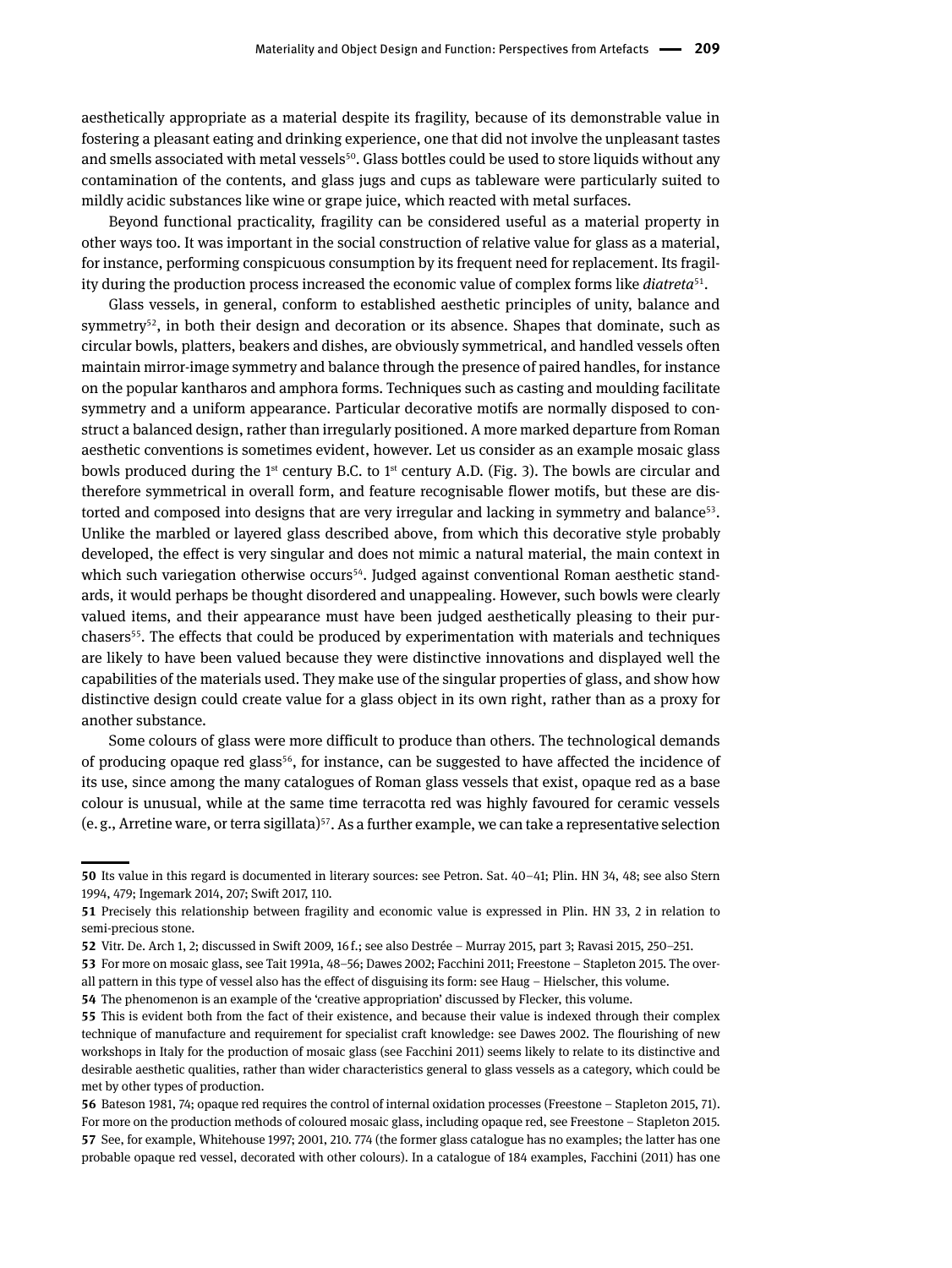aesthetically appropriate as a material despite its fragility, because of its demonstrable value in fostering a pleasant eating and drinking experience, one that did not involve the unpleasant tastes and smells associated with metal vessels<sup>50</sup>. Glass bottles could be used to store liquids without any contamination of the contents, and glass jugs and cups as tableware were particularly suited to mildly acidic substances like wine or grape juice, which reacted with metal surfaces.

Beyond functional practicality, fragility can be considered useful as a material property in other ways too. It was important in the social construction of relative value for glass as a material, for instance, performing conspicuous consumption by its frequent need for replacement. Its fragility during the production process increased the economic value of complex forms like *diatreta*51.

Glass vessels, in general, conform to established aesthetic principles of unity, balance and symmetry<sup>52</sup>, in both their design and decoration or its absence. Shapes that dominate, such as circular bowls, platters, beakers and dishes, are obviously symmetrical, and handled vessels often maintain mirror-image symmetry and balance through the presence of paired handles, for instance on the popular kantharos and amphora forms. Techniques such as casting and moulding facilitate symmetry and a uniform appearance. Particular decorative motifs are normally disposed to construct a balanced design, rather than irregularly positioned. A more marked departure from Roman aesthetic conventions is sometimes evident, however. Let us consider as an example mosaic glass bowls produced during the 1<sup>st</sup> century B.C. to 1<sup>st</sup> century A.D. (Fig. 3). The bowls are circular and therefore symmetrical in overall form, and feature recognisable flower motifs, but these are distorted and composed into designs that are very irregular and lacking in symmetry and balance $53$ . Unlike the marbled or layered glass described above, from which this decorative style probably developed, the effect is very singular and does not mimic a natural material, the main context in which such variegation otherwise occurs<sup>54</sup>. Judged against conventional Roman aesthetic standards, it would perhaps be thought disordered and unappealing. However, such bowls were clearly valued items, and their appearance must have been judged aesthetically pleasing to their purchasers55. The effects that could be produced by experimentation with materials and techniques are likely to have been valued because they were distinctive innovations and displayed well the capabilities of the materials used. They make use of the singular properties of glass, and show how distinctive design could create value for a glass object in its own right, rather than as a proxy for another substance.

Some colours of glass were more difficult to produce than others. The technological demands of producing opaque red glass<sup>56</sup>, for instance, can be suggested to have affected the incidence of its use, since among the many catalogues of Roman glass vessels that exist, opaque red as a base colour is unusual, while at the same time terracotta red was highly favoured for ceramic vessels (e.g., Arretine ware, or terra sigillata)<sup>57</sup>. As a further example, we can take a representative selection

**<sup>50</sup>** Its value in this regard is documented in literary sources: see Petron. Sat. 40–41; Plin. HN 34, 48; see also Stern 1994, 479; Ingemark 2014, 207; Swift 2017, 110.

**<sup>51</sup>** Precisely this relationship between fragility and economic value is expressed in Plin. HN 33, 2 in relation to semi-precious stone.

**<sup>52</sup>** Vitr. De. Arch 1, 2; discussed in Swift 2009, 16 f.; see also Destrée – Murray 2015, part 3; Ravasi 2015, 250–251.

**<sup>53</sup>** For more on mosaic glass, see Tait 1991a, 48–56; Dawes 2002; Facchini 2011; Freestone – Stapleton 2015. The overall pattern in this type of vessel also has the effect of disguising its form: see Haug – Hielscher, this volume.

**<sup>54</sup>** The phenomenon is an example of the 'creative appropriation' discussed by Flecker, this volume.

**<sup>55</sup>** This is evident both from the fact of their existence, and because their value is indexed through their complex technique of manufacture and requirement for specialist craft knowledge: see Dawes 2002. The flourishing of new workshops in Italy for the production of mosaic glass (see Facchini 2011) seems likely to relate to its distinctive and desirable aesthetic qualities, rather than wider characteristics general to glass vessels as a category, which could be met by other types of production.

**<sup>56</sup>** Bateson 1981, 74; opaque red requires the control of internal oxidation processes (Freestone – Stapleton 2015, 71). For more on the production methods of coloured mosaic glass, including opaque red, see Freestone – Stapleton 2015. **57** See, for example, Whitehouse 1997; 2001, 210. 774 (the former glass catalogue has no examples; the latter has one probable opaque red vessel, decorated with other colours). In a catalogue of 184 examples, Facchini (2011) has one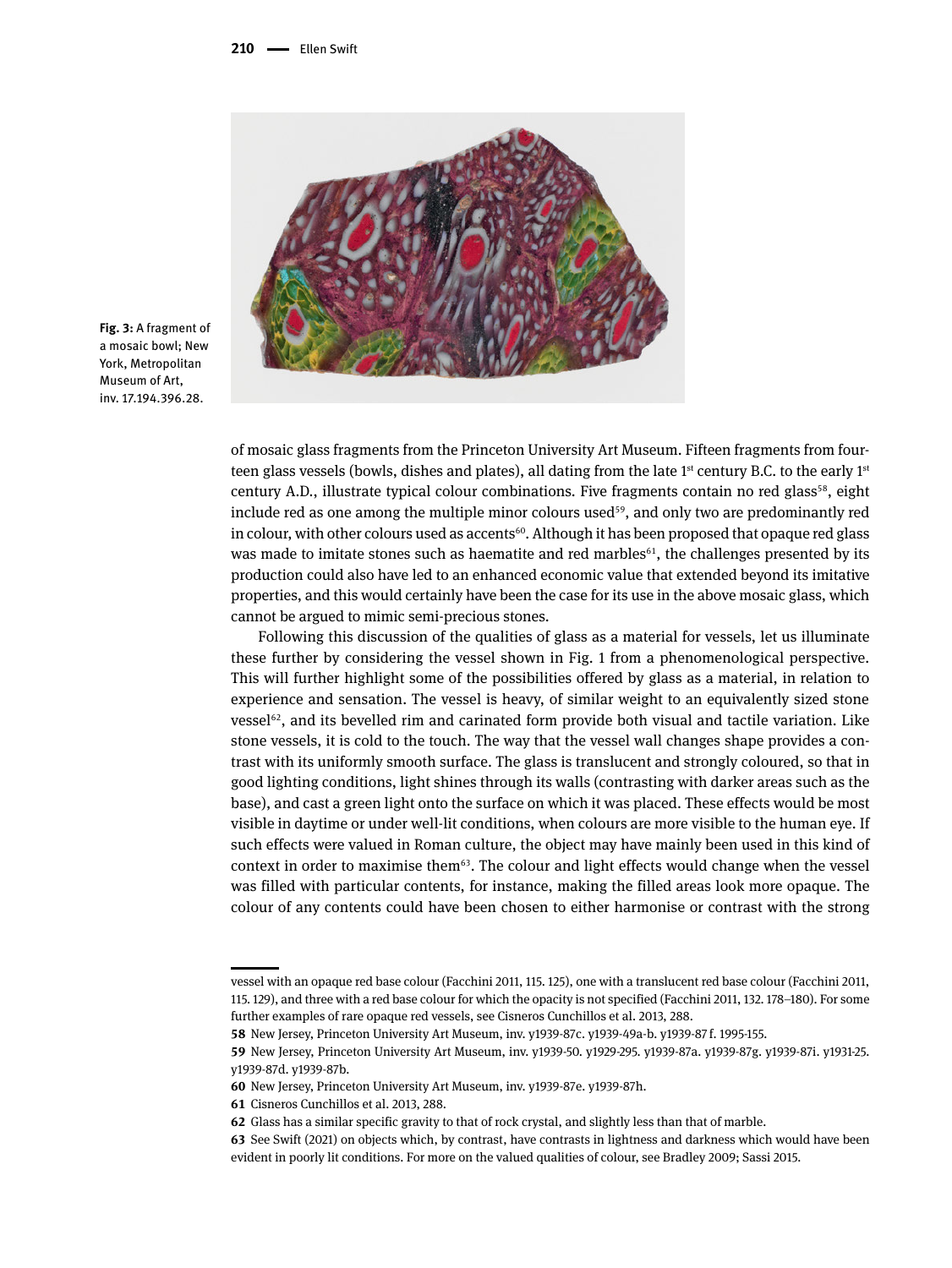

**Fig. 3:** A fragment of a mosaic bowl; New York, Metropolitan Museum of Art, inv. 17.194.396.28.

of mosaic glass fragments from the Princeton University Art Museum. Fifteen fragments from fourteen glass vessels (bowls, dishes and plates), all dating from the late 1<sup>st</sup> century B.C. to the early 1<sup>st</sup> century A.D., illustrate typical colour combinations. Five fragments contain no red glass<sup>58</sup>, eight include red as one among the multiple minor colours used<sup>59</sup>, and only two are predominantly red in colour, with other colours used as accents $60$ . Although it has been proposed that opaque red glass was made to imitate stones such as haematite and red marbles<sup>61</sup>, the challenges presented by its production could also have led to an enhanced economic value that extended beyond its imitative properties, and this would certainly have been the case for its use in the above mosaic glass, which cannot be argued to mimic semi-precious stones.

Following this discussion of the qualities of glass as a material for vessels, let us illuminate these further by considering the vessel shown in Fig. 1 from a phenomenological perspective. This will further highlight some of the possibilities offered by glass as a material, in relation to experience and sensation. The vessel is heavy, of similar weight to an equivalently sized stone  $v$ essel $62$ , and its bevelled rim and carinated form provide both visual and tactile variation. Like stone vessels, it is cold to the touch. The way that the vessel wall changes shape provides a contrast with its uniformly smooth surface. The glass is translucent and strongly coloured, so that in good lighting conditions, light shines through its walls (contrasting with darker areas such as the base), and cast a green light onto the surface on which it was placed. These effects would be most visible in daytime or under well-lit conditions, when colours are more visible to the human eye. If such effects were valued in Roman culture, the object may have mainly been used in this kind of context in order to maximise them $63$ . The colour and light effects would change when the vessel was filled with particular contents, for instance, making the filled areas look more opaque. The colour of any contents could have been chosen to either harmonise or contrast with the strong

vessel with an opaque red base colour (Facchini 2011, 115. 125), one with a translucent red base colour (Facchini 2011, 115. 129), and three with a red base colour for which the opacity is not specified (Facchini 2011, 132. 178–180). For some further examples of rare opaque red vessels, see Cisneros Cunchillos et al. 2013, 288.

**<sup>58</sup>** New Jersey, Princeton University Art Museum, inv. y1939-87c. y1939-49a-b. y1939-87 f. 1995-155.

**<sup>59</sup>** New Jersey, Princeton University Art Museum, inv. y1939-50. y1929-295. y1939-87a. y1939-87g. y1939-87i. y1931-25. y1939-87d. y1939-87b.

**<sup>60</sup>** New Jersey, Princeton University Art Museum, inv. y1939-87e. y1939-87h.

**<sup>61</sup>** Cisneros Cunchillos et al. 2013, 288.

**<sup>62</sup>** Glass has a similar specific gravity to that of rock crystal, and slightly less than that of marble.

**<sup>63</sup>** See Swift (2021) on objects which, by contrast, have contrasts in lightness and darkness which would have been evident in poorly lit conditions. For more on the valued qualities of colour, see Bradley 2009; Sassi 2015.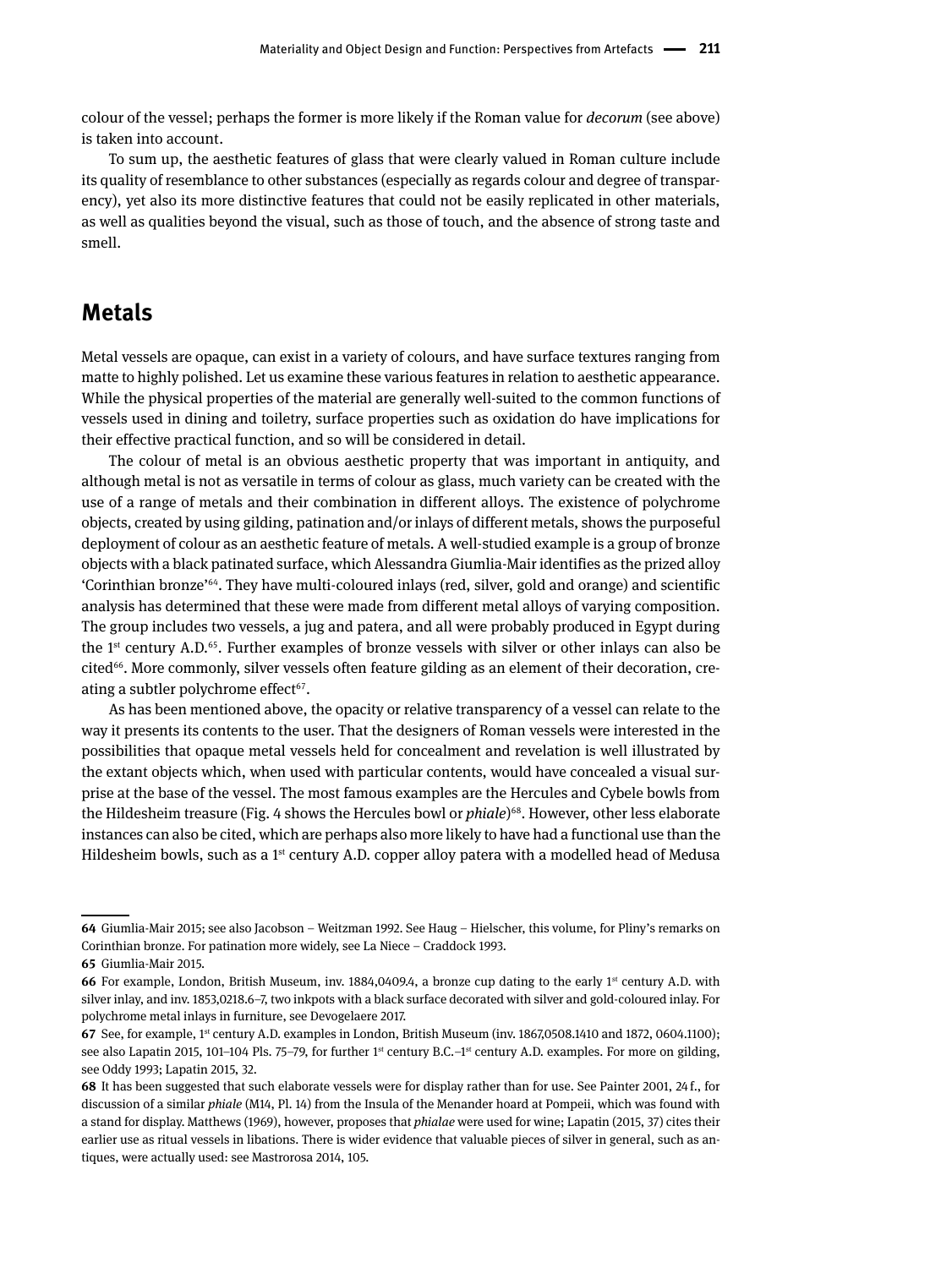colour of the vessel; perhaps the former is more likely if the Roman value for *decorum* (see above) is taken into account.

To sum up, the aesthetic features of glass that were clearly valued in Roman culture include its quality of resemblance to other substances (especially as regards colour and degree of transparency), yet also its more distinctive features that could not be easily replicated in other materials, as well as qualities beyond the visual, such as those of touch, and the absence of strong taste and smell.

#### **Metals**

Metal vessels are opaque, can exist in a variety of colours, and have surface textures ranging from matte to highly polished. Let us examine these various features in relation to aesthetic appearance. While the physical properties of the material are generally well-suited to the common functions of vessels used in dining and toiletry, surface properties such as oxidation do have implications for their effective practical function, and so will be considered in detail.

The colour of metal is an obvious aesthetic property that was important in antiquity, and although metal is not as versatile in terms of colour as glass, much variety can be created with the use of a range of metals and their combination in different alloys. The existence of polychrome objects, created by using gilding, patination and/or inlays of different metals, shows the purposeful deployment of colour as an aesthetic feature of metals. A well-studied example is a group of bronze objects with a black patinated surface, which Alessandra Giumlia-Mair identifies as the prized alloy 'Corinthian bronze'64. They have multi-coloured inlays (red, silver, gold and orange) and scientific analysis has determined that these were made from different metal alloys of varying composition. The group includes two vessels, a jug and patera, and all were probably produced in Egypt during the 1<sup>st</sup> century A.D.<sup>65</sup>. Further examples of bronze vessels with silver or other inlays can also be cited<sup>66</sup>. More commonly, silver vessels often feature gilding as an element of their decoration, creating a subtler polychrome effect $67$ .

As has been mentioned above, the opacity or relative transparency of a vessel can relate to the way it presents its contents to the user. That the designers of Roman vessels were interested in the possibilities that opaque metal vessels held for concealment and revelation is well illustrated by the extant objects which, when used with particular contents, would have concealed a visual surprise at the base of the vessel. The most famous examples are the Hercules and Cybele bowls from the Hildesheim treasure (Fig. 4 shows the Hercules bowl or *phiale*)<sup>68</sup>. However, other less elaborate instances can also be cited, which are perhaps also more likely to have had a functional use than the Hildesheim bowls, such as a 1<sup>st</sup> century A.D. copper alloy patera with a modelled head of Medusa

**<sup>64</sup>** Giumlia-Mair 2015; see also Jacobson – Weitzman 1992. See Haug – Hielscher, this volume, for Pliny's remarks on Corinthian bronze. For patination more widely, see La Niece – Craddock 1993.

**<sup>65</sup>** Giumlia-Mair 2015.

**<sup>66</sup>** For example, London, British Museum, inv. 1884,0409.4, a bronze cup dating to the early 1<sup>st</sup> century A.D. with silver inlay, and inv. 1853,0218.6–7, two inkpots with a black surface decorated with silver and gold-coloured inlay. For polychrome metal inlays in furniture, see Devogelaere 2017.

**<sup>67</sup>** See, for example, 1<sup>st</sup> century A.D. examples in London, British Museum (inv. 1867,0508.1410 and 1872, 0604.1100); see also Lapatin 2015, 101-104 Pls. 75-79, for further 1<sup>st</sup> century B.C.-1<sup>st</sup> century A.D. examples. For more on gilding, see Oddy 1993; Lapatin 2015, 32.

**<sup>68</sup>** It has been suggested that such elaborate vessels were for display rather than for use. See Painter 2001, 24 f., for discussion of a similar *phiale* (M14, Pl. 14) from the Insula of the Menander hoard at Pompeii, which was found with a stand for display. Matthews (1969), however, proposes that *phialae* were used for wine; Lapatin (2015, 37) cites their earlier use as ritual vessels in libations. There is wider evidence that valuable pieces of silver in general, such as antiques, were actually used: see Mastrorosa 2014, 105.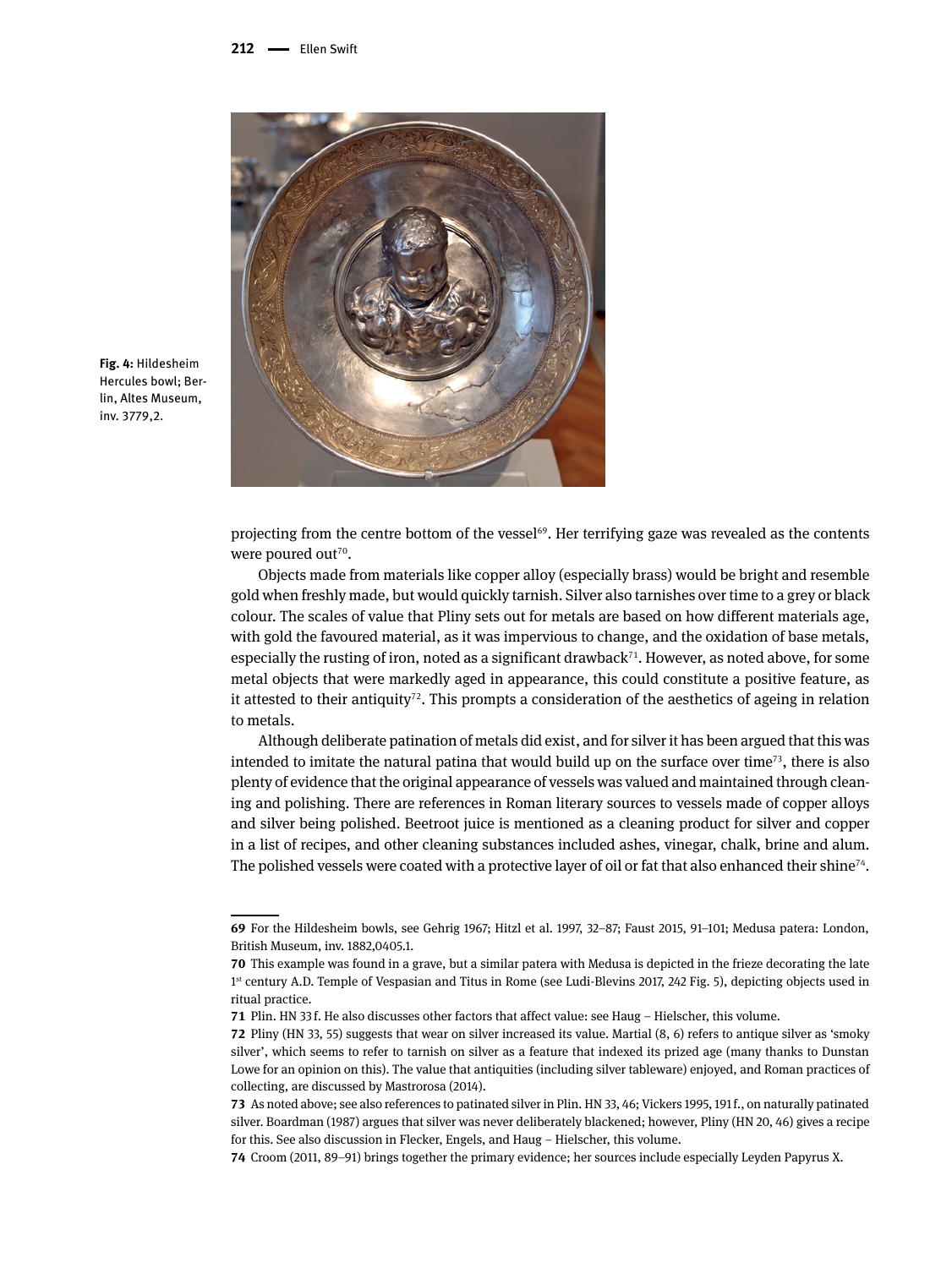

**Fig. 4:** Hildesheim Hercules bowl; Berlin, Altes Museum, inv. 3779,2.

projecting from the centre bottom of the vessel<sup>69</sup>. Her terrifying gaze was revealed as the contents were poured out<sup>70</sup>.

Objects made from materials like copper alloy (especially brass) would be bright and resemble gold when freshly made, but would quickly tarnish. Silver also tarnishes over time to a grey or black colour. The scales of value that Pliny sets out for metals are based on how different materials age, with gold the favoured material, as it was impervious to change, and the oxidation of base metals, especially the rusting of iron, noted as a significant drawback<sup> $71$ </sup>. However, as noted above, for some metal objects that were markedly aged in appearance, this could constitute a positive feature, as it attested to their antiquity<sup>72</sup>. This prompts a consideration of the aesthetics of ageing in relation to metals.

Although deliberate patination of metals did exist, and for silver it has been argued that this was intended to imitate the natural patina that would build up on the surface over time<sup>73</sup>, there is also plenty of evidence that the original appearance of vessels was valued and maintained through cleaning and polishing. There are references in Roman literary sources to vessels made of copper alloys and silver being polished. Beetroot juice is mentioned as a cleaning product for silver and copper in a list of recipes, and other cleaning substances included ashes, vinegar, chalk, brine and alum. The polished vessels were coated with a protective layer of oil or fat that also enhanced their shine<sup>74</sup>.

**<sup>69</sup>** For the Hildesheim bowls, see Gehrig 1967; Hitzl et al. 1997, 32–87; Faust 2015, 91–101; Medusa patera: London, British Museum, inv. 1882,0405.1.

**<sup>70</sup>** This example was found in a grave, but a similar patera with Medusa is depicted in the frieze decorating the late 1<sup>st</sup> century A.D. Temple of Vespasian and Titus in Rome (see Ludi-Blevins 2017, 242 Fig. 5), depicting objects used in ritual practice.

**<sup>71</sup>** Plin. HN 33 f. He also discusses other factors that affect value: see Haug – Hielscher, this volume.

**<sup>72</sup>** Pliny (HN 33, 55) suggests that wear on silver increased its value. Martial (8, 6) refers to antique silver as 'smoky silver', which seems to refer to tarnish on silver as a feature that indexed its prized age (many thanks to Dunstan Lowe for an opinion on this). The value that antiquities (including silver tableware) enjoyed, and Roman practices of collecting, are discussed by Mastrorosa (2014).

**<sup>73</sup>** As noted above; see also references to patinated silver in Plin. HN 33, 46; Vickers 1995, 191 f., on naturally patinated silver. Boardman (1987) argues that silver was never deliberately blackened; however, Pliny (HN 20, 46) gives a recipe for this. See also discussion in Flecker, Engels, and Haug – Hielscher, this volume.

**<sup>74</sup>** Croom (2011, 89–91) brings together the primary evidence; her sources include especially Leyden Papyrus X.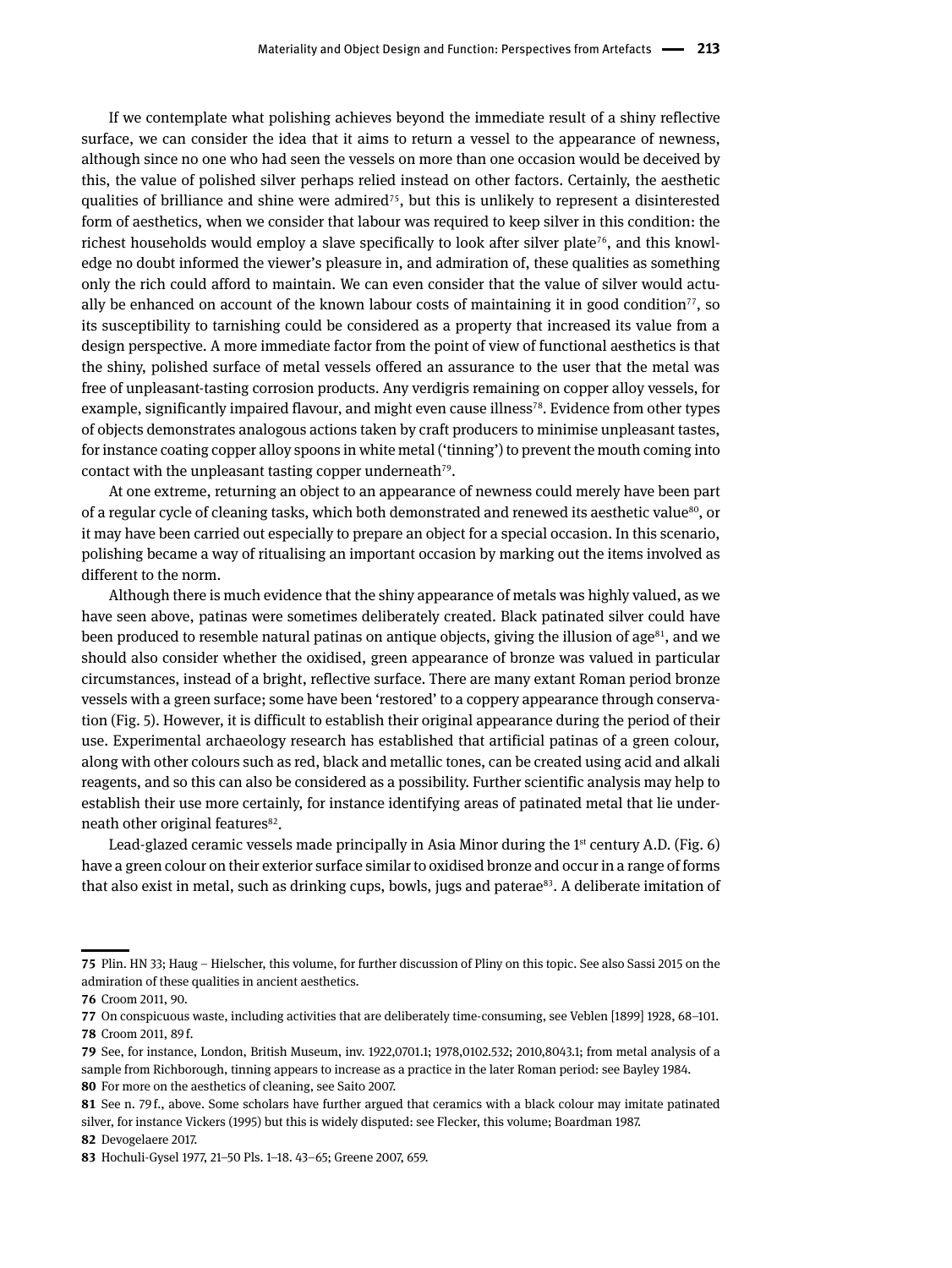If we contemplate what polishing achieves beyond the immediate result of a shiny reflective surface, we can consider the idea that it aims to return a vessel to the appearance of newness, although since no one who had seen the vessels on more than one occasion would be deceived by this, the value of polished silver perhaps relied instead on other factors. Certainly, the aesthetic qualities of brilliance and shine were admired<sup>75</sup>, but this is unlikely to represent a disinterested form of aesthetics, when we consider that labour was required to keep silver in this condition: the richest households would employ a slave specifically to look after silver plate<sup> $76$ </sup>, and this knowledge no doubt informed the viewer's pleasure in, and admiration of, these qualities as something only the rich could afford to maintain. We can even consider that the value of silver would actually be enhanced on account of the known labour costs of maintaining it in good condition<sup>77</sup>, so its susceptibility to tarnishing could be considered as a property that increased its value from a design perspective. A more immediate factor from the point of view of functional aesthetics is that the shiny, polished surface of metal vessels offered an assurance to the user that the metal was free of unpleasant-tasting corrosion products. Any verdigris remaining on copper alloy vessels, for example, significantly impaired flavour, and might even cause illness<sup>78</sup>. Evidence from other types of objects demonstrates analogous actions taken by craft producers to minimise unpleasant tastes, for instance coating copper alloy spoons in white metal ('tinning') to prevent the mouth coming into contact with the unpleasant tasting copper underneath<sup>79</sup>.

At one extreme, returning an object to an appearance of newness could merely have been part of a regular cycle of cleaning tasks, which both demonstrated and renewed its aesthetic value<sup>80</sup>, or it may have been carried out especially to prepare an object for a special occasion. In this scenario, polishing became a way of ritualising an important occasion by marking out the items involved as different to the norm.

Although there is much evidence that the shiny appearance of metals was highly valued, as we have seen above, patinas were sometimes deliberately created. Black patinated silver could have been produced to resemble natural patinas on antique objects, giving the illusion of  $age^{81}$ , and we should also consider whether the oxidised, green appearance of bronze was valued in particular circumstances, instead of a bright, reflective surface. There are many extant Roman period bronze vessels with a green surface; some have been 'restored' to a coppery appearance through conservation (Fig. 5). However, it is difficult to establish their original appearance during the period of their use. Experimental archaeology research has established that artificial patinas of a green colour, along with other colours such as red, black and metallic tones, can be created using acid and alkali reagents, and so this can also be considered as a possibility. Further scientific analysis may help to establish their use more certainly, for instance identifying areas of patinated metal that lie underneath other original features<sup>82</sup>.

Lead-glazed ceramic vessels made principally in Asia Minor during the  $1<sup>st</sup>$  century A.D. (Fig. 6) have a green colour on their exterior surface similar to oxidised bronze and occur in a range of forms that also exist in metal, such as drinking cups, bowls, jugs and paterae<sup>83</sup>. A deliberate imitation of

**82** Devogelaere 2017.

**<sup>75</sup>** Plin. HN 33; Haug – Hielscher, this volume, for further discussion of Pliny on this topic. See also Sassi 2015 on the admiration of these qualities in ancient aesthetics.

**<sup>76</sup>** Croom 2011, 90.

**<sup>77</sup>** On conspicuous waste, including activities that are deliberately time-consuming, see Veblen [1899] 1928, 68–101. **78** Croom 2011, 89 f.

**<sup>79</sup>** See, for instance, London, British Museum, inv. 1922,0701.1; 1978,0102.532; 2010,8043.1; from metal analysis of a sample from Richborough, tinning appears to increase as a practice in the later Roman period: see Bayley 1984. **80** For more on the aesthetics of cleaning, see Saito 2007.

**<sup>81</sup>** See n. 79 f., above. Some scholars have further argued that ceramics with a black colour may imitate patinated silver, for instance Vickers (1995) but this is widely disputed: see Flecker, this volume; Boardman 1987.

**<sup>83</sup>** Hochuli-Gysel 1977, 21–50 Pls. 1–18. 43–65; Greene 2007, 659.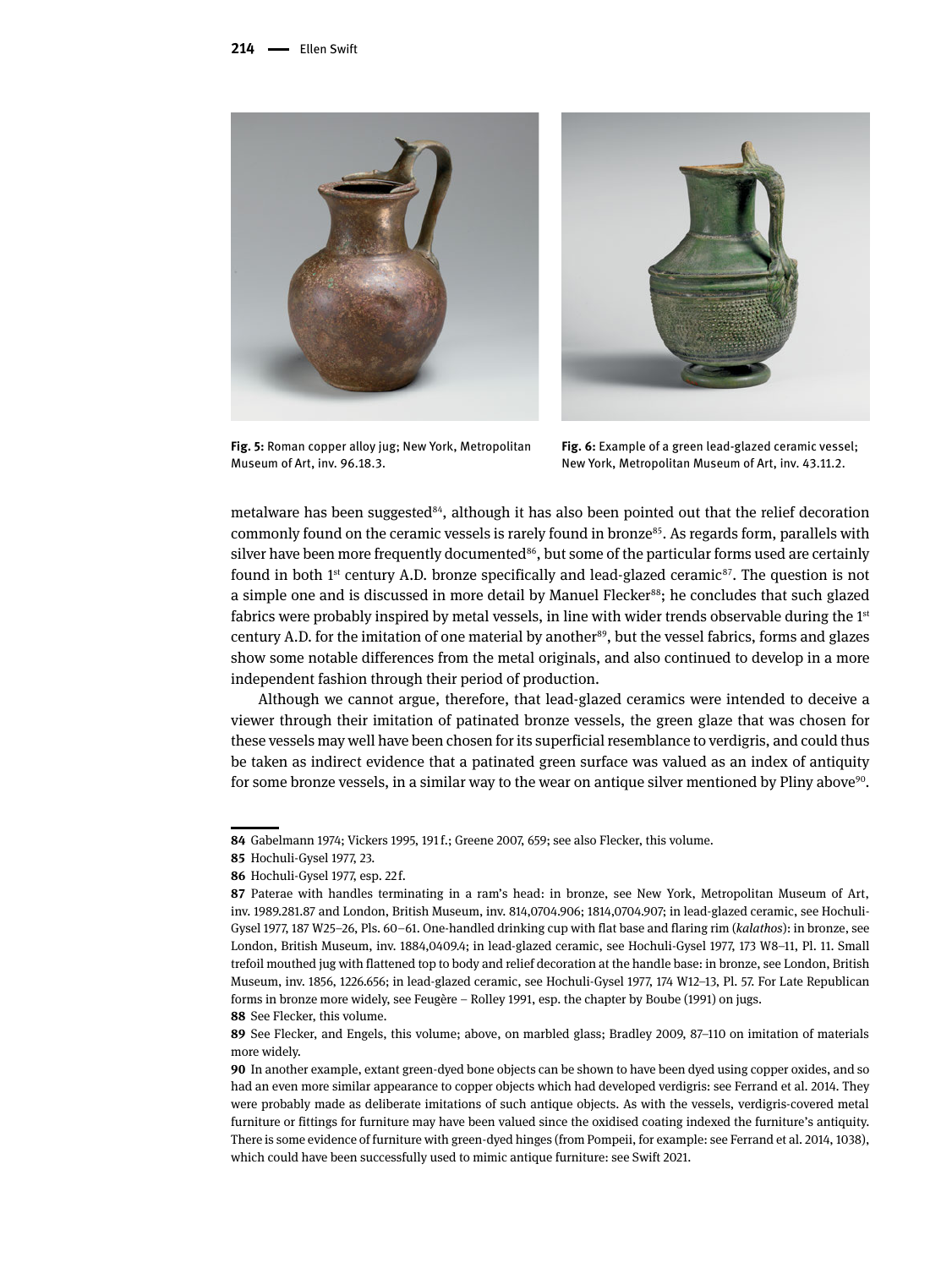

**Fig. 5:** Roman copper alloy jug; New York, Metropolitan Museum of Art, inv. 96.18.3.

**Fig. 6:** Example of a green lead-glazed ceramic vessel; New York, Metropolitan Museum of Art, inv. 43.11.2.

metalware has been suggested<sup>84</sup>, although it has also been pointed out that the relief decoration commonly found on the ceramic vessels is rarely found in bronze<sup>85</sup>. As regards form, parallels with silver have been more frequently documented $86$ , but some of the particular forms used are certainly found in both 1<sup>st</sup> century A.D. bronze specifically and lead-glazed ceramic<sup>87</sup>. The question is not a simple one and is discussed in more detail by Manuel Flecker<sup>88</sup>; he concludes that such glazed fabrics were probably inspired by metal vessels, in line with wider trends observable during the  $1<sup>st</sup>$ century A.D. for the imitation of one material by another<sup>89</sup>, but the vessel fabrics, forms and glazes show some notable differences from the metal originals, and also continued to develop in a more independent fashion through their period of production.

Although we cannot argue, therefore, that lead-glazed ceramics were intended to deceive a viewer through their imitation of patinated bronze vessels, the green glaze that was chosen for these vessels may well have been chosen for its superficial resemblance to verdigris, and could thus be taken as indirect evidence that a patinated green surface was valued as an index of antiquity for some bronze vessels, in a similar way to the wear on antique silver mentioned by Pliny above<sup>90</sup>.

**88** See Flecker, this volume.

**<sup>84</sup>** Gabelmann 1974; Vickers 1995, 191 f.; Greene 2007, 659; see also Flecker, this volume.

**<sup>85</sup>** Hochuli-Gysel 1977, 23.

**<sup>86</sup>** Hochuli-Gysel 1977, esp. 22 f.

**<sup>87</sup>** Paterae with handles terminating in a ram's head: in bronze, see New York, Metropolitan Museum of Art, inv. 1989.281.87 and London, British Museum, inv. 814,0704.906; 1814,0704.907; in lead-glazed ceramic, see Hochuli-Gysel 1977, 187 W25–26, Pls. 60–61. One-handled drinking cup with flat base and flaring rim (*kalathos*): in bronze, see London, British Museum, inv. 1884,0409.4; in lead-glazed ceramic, see Hochuli-Gysel 1977, 173 W8–11, Pl. 11. Small trefoil mouthed jug with flattened top to body and relief decoration at the handle base: in bronze, see London, British Museum, inv. 1856, 1226.656; in lead-glazed ceramic, see Hochuli-Gysel 1977, 174 W12–13, Pl. 57. For Late Republican forms in bronze more widely, see Feugère – Rolley 1991, esp. the chapter by Boube (1991) on jugs.

**<sup>89</sup>** See Flecker, and Engels, this volume; above, on marbled glass; Bradley 2009, 87–110 on imitation of materials more widely.

**<sup>90</sup>** In another example, extant green-dyed bone objects can be shown to have been dyed using copper oxides, and so had an even more similar appearance to copper objects which had developed verdigris: see Ferrand et al. 2014. They were probably made as deliberate imitations of such antique objects. As with the vessels, verdigris-covered metal furniture or fittings for furniture may have been valued since the oxidised coating indexed the furniture's antiquity. There is some evidence of furniture with green-dyed hinges (from Pompeii, for example: see Ferrand et al. 2014, 1038), which could have been successfully used to mimic antique furniture: see Swift 2021.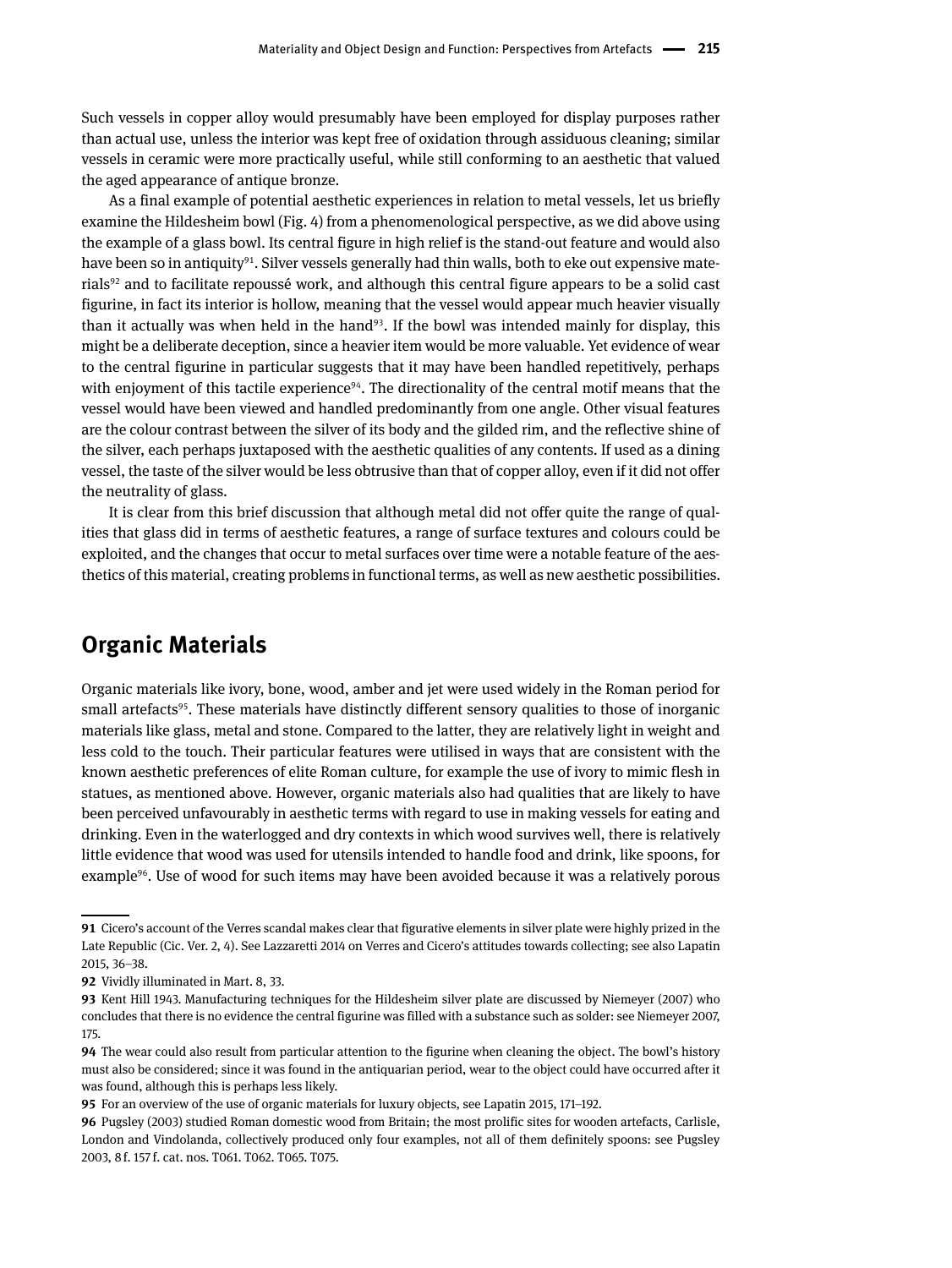Such vessels in copper alloy would presumably have been employed for display purposes rather than actual use, unless the interior was kept free of oxidation through assiduous cleaning; similar vessels in ceramic were more practically useful, while still conforming to an aesthetic that valued the aged appearance of antique bronze.

As a final example of potential aesthetic experiences in relation to metal vessels, let us briefly examine the Hildesheim bowl (Fig. 4) from a phenomenological perspective, as we did above using the example of a glass bowl. Its central figure in high relief is the stand-out feature and would also have been so in antiquity<sup>91</sup>. Silver vessels generally had thin walls, both to eke out expensive materials92 and to facilitate repoussé work, and although this central figure appears to be a solid cast figurine, in fact its interior is hollow, meaning that the vessel would appear much heavier visually than it actually was when held in the hand<sup>93</sup>. If the bowl was intended mainly for display, this might be a deliberate deception, since a heavier item would be more valuable. Yet evidence of wear to the central figurine in particular suggests that it may have been handled repetitively, perhaps with enjoyment of this tactile experience<sup>94</sup>. The directionality of the central motif means that the vessel would have been viewed and handled predominantly from one angle. Other visual features are the colour contrast between the silver of its body and the gilded rim, and the reflective shine of the silver, each perhaps juxtaposed with the aesthetic qualities of any contents. If used as a dining vessel, the taste of the silver would be less obtrusive than that of copper alloy, even if it did not offer the neutrality of glass.

It is clear from this brief discussion that although metal did not offer quite the range of qualities that glass did in terms of aesthetic features, a range of surface textures and colours could be exploited, and the changes that occur to metal surfaces over time were a notable feature of the aesthetics of this material, creating problems in functional terms, as well as new aesthetic possibilities.

#### **Organic Materials**

Organic materials like ivory, bone, wood, amber and jet were used widely in the Roman period for small artefacts<sup>95</sup>. These materials have distinctly different sensory qualities to those of inorganic materials like glass, metal and stone. Compared to the latter, they are relatively light in weight and less cold to the touch. Their particular features were utilised in ways that are consistent with the known aesthetic preferences of elite Roman culture, for example the use of ivory to mimic flesh in statues, as mentioned above. However, organic materials also had qualities that are likely to have been perceived unfavourably in aesthetic terms with regard to use in making vessels for eating and drinking. Even in the waterlogged and dry contexts in which wood survives well, there is relatively little evidence that wood was used for utensils intended to handle food and drink, like spoons, for example<sup>96</sup>. Use of wood for such items may have been avoided because it was a relatively porous

**<sup>91</sup>** Cicero's account of the Verres scandal makes clear that figurative elements in silver plate were highly prized in the Late Republic (Cic. Ver. 2, 4). See Lazzaretti 2014 on Verres and Cicero's attitudes towards collecting; see also Lapatin 2015, 36–38.

**<sup>92</sup>** Vividly illuminated in Mart. 8, 33.

**<sup>93</sup>** Kent Hill 1943. Manufacturing techniques for the Hildesheim silver plate are discussed by Niemeyer (2007) who concludes that there is no evidence the central figurine was filled with a substance such as solder: see Niemeyer 2007, 175.

**<sup>94</sup>** The wear could also result from particular attention to the figurine when cleaning the object. The bowl's history must also be considered; since it was found in the antiquarian period, wear to the object could have occurred after it was found, although this is perhaps less likely.

**<sup>95</sup>** For an overview of the use of organic materials for luxury objects, see Lapatin 2015, 171–192.

**<sup>96</sup>** Pugsley (2003) studied Roman domestic wood from Britain; the most prolific sites for wooden artefacts, Carlisle, London and Vindolanda, collectively produced only four examples, not all of them definitely spoons: see Pugsley 2003, 8 f. 157 f. cat. nos. T061. T062. T065. T075.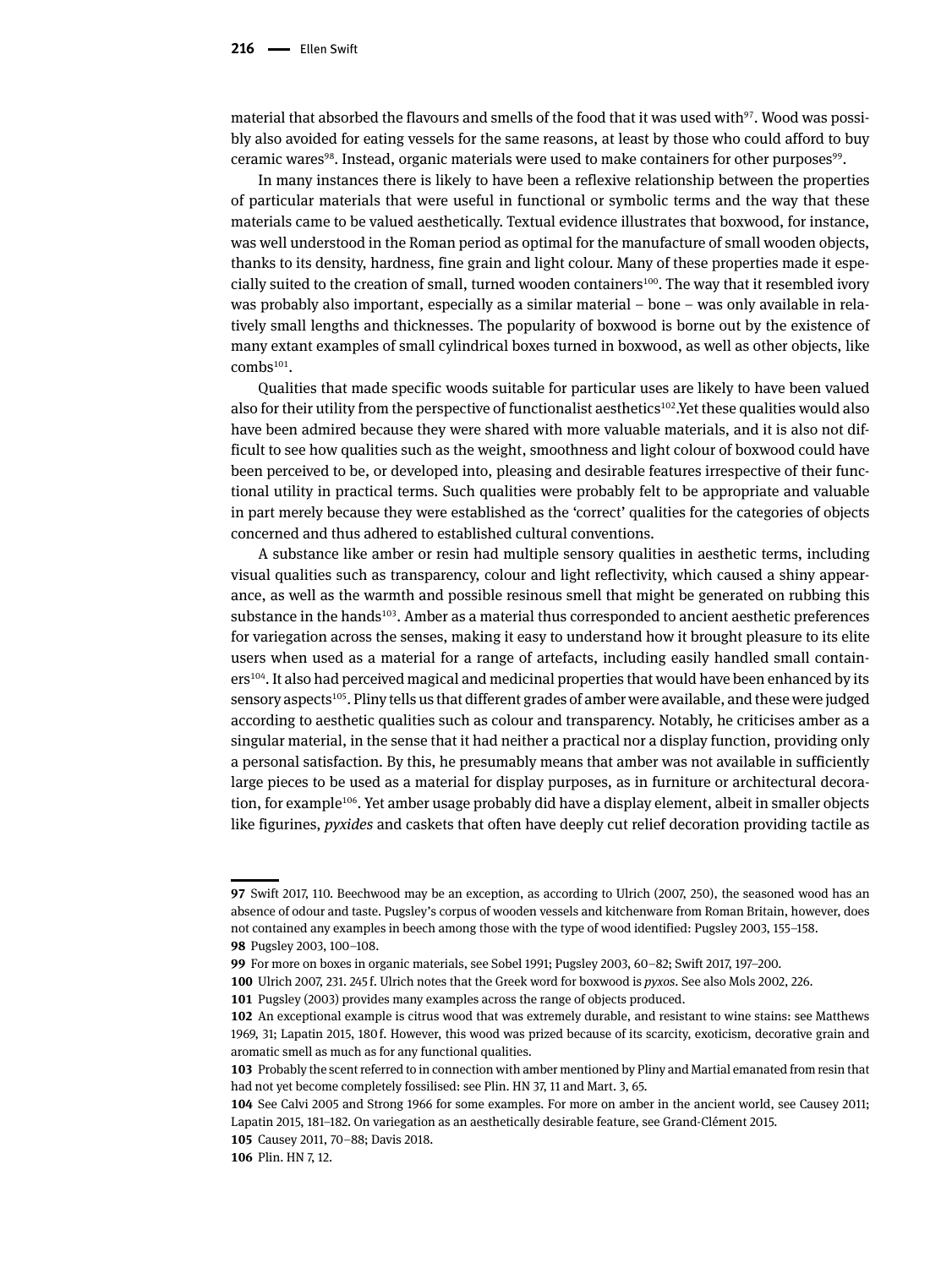material that absorbed the flavours and smells of the food that it was used with $97$ . Wood was possibly also avoided for eating vessels for the same reasons, at least by those who could afford to buy ceramic wares<sup>98</sup>. Instead, organic materials were used to make containers for other purposes<sup>99</sup>.

In many instances there is likely to have been a reflexive relationship between the properties of particular materials that were useful in functional or symbolic terms and the way that these materials came to be valued aesthetically. Textual evidence illustrates that boxwood, for instance, was well understood in the Roman period as optimal for the manufacture of small wooden objects, thanks to its density, hardness, fine grain and light colour. Many of these properties made it especially suited to the creation of small, turned wooden containers100. The way that it resembled ivory was probably also important, especially as a similar material – bone – was only available in relatively small lengths and thicknesses. The popularity of boxwood is borne out by the existence of many extant examples of small cylindrical boxes turned in boxwood, as well as other objects, like  $combs<sup>101</sup>$ .

Qualities that made specific woods suitable for particular uses are likely to have been valued also for their utility from the perspective of functionalist aesthetics<sup>102</sup>.Yet these qualities would also have been admired because they were shared with more valuable materials, and it is also not difficult to see how qualities such as the weight, smoothness and light colour of boxwood could have been perceived to be, or developed into, pleasing and desirable features irrespective of their functional utility in practical terms. Such qualities were probably felt to be appropriate and valuable in part merely because they were established as the 'correct' qualities for the categories of objects concerned and thus adhered to established cultural conventions.

A substance like amber or resin had multiple sensory qualities in aesthetic terms, including visual qualities such as transparency, colour and light reflectivity, which caused a shiny appearance, as well as the warmth and possible resinous smell that might be generated on rubbing this substance in the hands<sup>103</sup>. Amber as a material thus corresponded to ancient aesthetic preferences for variegation across the senses, making it easy to understand how it brought pleasure to its elite users when used as a material for a range of artefacts, including easily handled small containers<sup>104</sup>. It also had perceived magical and medicinal properties that would have been enhanced by its sensory aspects<sup>105</sup>. Pliny tells us that different grades of amber were available, and these were judged according to aesthetic qualities such as colour and transparency. Notably, he criticises amber as a singular material, in the sense that it had neither a practical nor a display function, providing only a personal satisfaction. By this, he presumably means that amber was not available in sufficiently large pieces to be used as a material for display purposes, as in furniture or architectural decoration, for example<sup>106</sup>. Yet amber usage probably did have a display element, albeit in smaller objects like figurines, *pyxides* and caskets that often have deeply cut relief decoration providing tactile as

**<sup>97</sup>** Swift 2017, 110. Beechwood may be an exception, as according to Ulrich (2007, 250), the seasoned wood has an absence of odour and taste. Pugsley's corpus of wooden vessels and kitchenware from Roman Britain, however, does not contained any examples in beech among those with the type of wood identified: Pugsley 2003, 155–158. **98** Pugsley 2003, 100–108.

**<sup>99</sup>** For more on boxes in organic materials, see Sobel 1991; Pugsley 2003, 60–82; Swift 2017, 197–200.

**<sup>100</sup>** Ulrich 2007, 231. 245 f. Ulrich notes that the Greek word for boxwood is *pyxos*. See also Mols 2002, 226.

**<sup>101</sup>** Pugsley (2003) provides many examples across the range of objects produced.

**<sup>102</sup>** An exceptional example is citrus wood that was extremely durable, and resistant to wine stains: see Matthews 1969, 31; Lapatin 2015, 180 f. However, this wood was prized because of its scarcity, exoticism, decorative grain and aromatic smell as much as for any functional qualities.

**<sup>103</sup>** Probably the scent referred to in connection with amber mentioned by Pliny and Martial emanated from resin that had not yet become completely fossilised: see Plin. HN 37, 11 and Mart. 3, 65.

**<sup>104</sup>** See Calvi 2005 and Strong 1966 for some examples. For more on amber in the ancient world, see Causey 2011; Lapatin 2015, 181–182. On variegation as an aesthetically desirable feature, see Grand-Clément 2015.

**<sup>105</sup>** Causey 2011, 70–88; Davis 2018.

**<sup>106</sup>** Plin. HN 7, 12.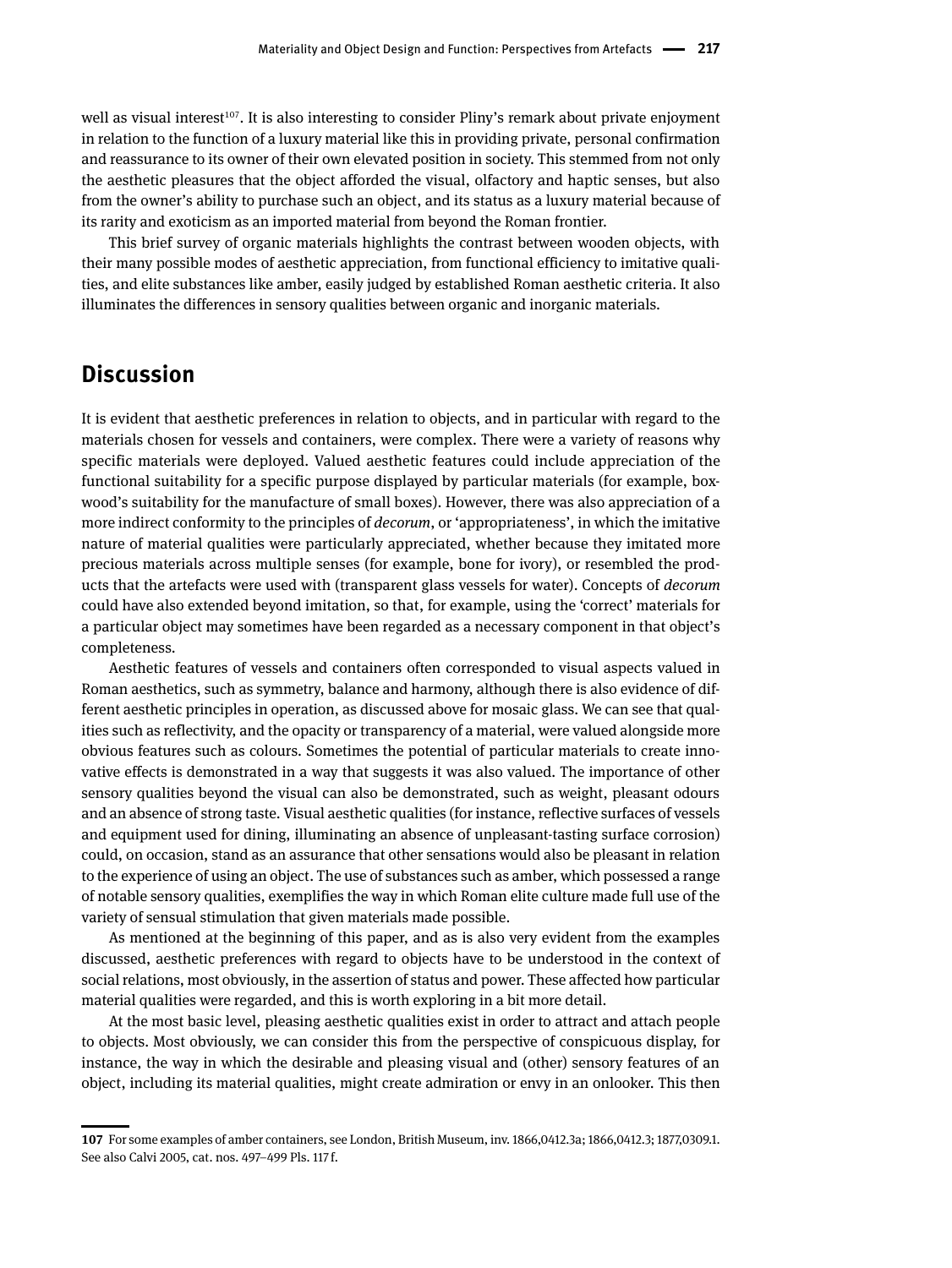well as visual interest<sup>107</sup>. It is also interesting to consider Pliny's remark about private enjoyment in relation to the function of a luxury material like this in providing private, personal confirmation and reassurance to its owner of their own elevated position in society. This stemmed from not only the aesthetic pleasures that the object afforded the visual, olfactory and haptic senses, but also from the owner's ability to purchase such an object, and its status as a luxury material because of its rarity and exoticism as an imported material from beyond the Roman frontier.

This brief survey of organic materials highlights the contrast between wooden objects, with their many possible modes of aesthetic appreciation, from functional efficiency to imitative qualities, and elite substances like amber, easily judged by established Roman aesthetic criteria. It also illuminates the differences in sensory qualities between organic and inorganic materials.

#### **Discussion**

It is evident that aesthetic preferences in relation to objects, and in particular with regard to the materials chosen for vessels and containers, were complex. There were a variety of reasons why specific materials were deployed. Valued aesthetic features could include appreciation of the functional suitability for a specific purpose displayed by particular materials (for example, boxwood's suitability for the manufacture of small boxes). However, there was also appreciation of a more indirect conformity to the principles of *decorum*, or 'appropriateness', in which the imitative nature of material qualities were particularly appreciated, whether because they imitated more precious materials across multiple senses (for example, bone for ivory), or resembled the products that the artefacts were used with (transparent glass vessels for water). Concepts of *decorum* could have also extended beyond imitation, so that, for example, using the 'correct' materials for a particular object may sometimes have been regarded as a necessary component in that object's completeness.

Aesthetic features of vessels and containers often corresponded to visual aspects valued in Roman aesthetics, such as symmetry, balance and harmony, although there is also evidence of different aesthetic principles in operation, as discussed above for mosaic glass. We can see that qualities such as reflectivity, and the opacity or transparency of a material, were valued alongside more obvious features such as colours. Sometimes the potential of particular materials to create innovative effects is demonstrated in a way that suggests it was also valued. The importance of other sensory qualities beyond the visual can also be demonstrated, such as weight, pleasant odours and an absence of strong taste. Visual aesthetic qualities (for instance, reflective surfaces of vessels and equipment used for dining, illuminating an absence of unpleasant-tasting surface corrosion) could, on occasion, stand as an assurance that other sensations would also be pleasant in relation to the experience of using an object. The use of substances such as amber, which possessed a range of notable sensory qualities, exemplifies the way in which Roman elite culture made full use of the variety of sensual stimulation that given materials made possible.

As mentioned at the beginning of this paper, and as is also very evident from the examples discussed, aesthetic preferences with regard to objects have to be understood in the context of social relations, most obviously, in the assertion of status and power. These affected how particular material qualities were regarded, and this is worth exploring in a bit more detail.

At the most basic level, pleasing aesthetic qualities exist in order to attract and attach people to objects. Most obviously, we can consider this from the perspective of conspicuous display, for instance, the way in which the desirable and pleasing visual and (other) sensory features of an object, including its material qualities, might create admiration or envy in an onlooker. This then

**<sup>107</sup>** For some examples of amber containers, see London, British Museum, inv. 1866,0412.3a; 1866,0412.3; 1877,0309.1. See also Calvi 2005, cat. nos. 497–499 Pls. 117 f.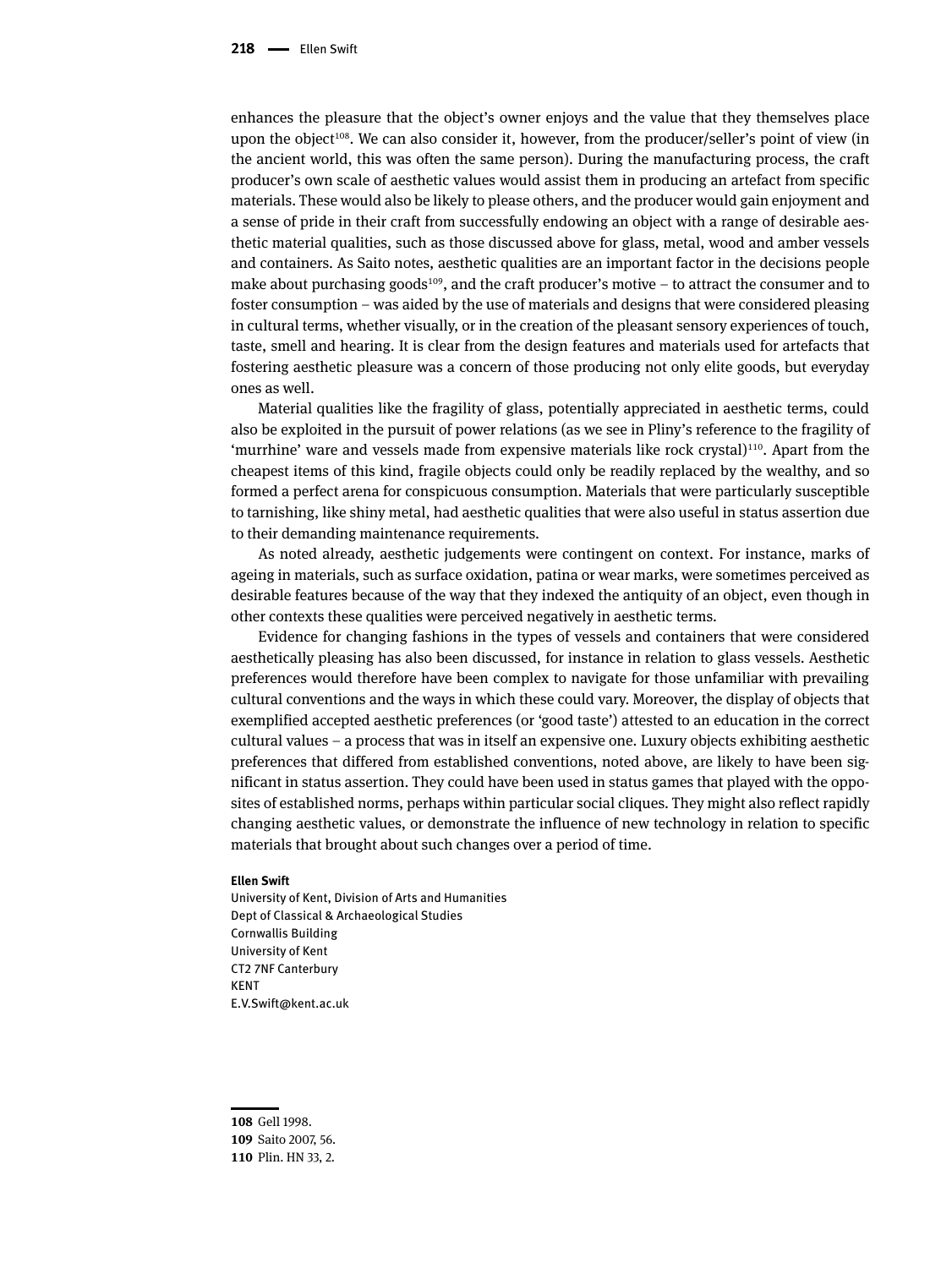enhances the pleasure that the object's owner enjoys and the value that they themselves place upon the object<sup>108</sup>. We can also consider it, however, from the producer/seller's point of view (in the ancient world, this was often the same person). During the manufacturing process, the craft producer's own scale of aesthetic values would assist them in producing an artefact from specific materials. These would also be likely to please others, and the producer would gain enjoyment and a sense of pride in their craft from successfully endowing an object with a range of desirable aesthetic material qualities, such as those discussed above for glass, metal, wood and amber vessels and containers. As Saito notes, aesthetic qualities are an important factor in the decisions people make about purchasing goods<sup>109</sup>, and the craft producer's motive – to attract the consumer and to foster consumption – was aided by the use of materials and designs that were considered pleasing in cultural terms, whether visually, or in the creation of the pleasant sensory experiences of touch, taste, smell and hearing. It is clear from the design features and materials used for artefacts that fostering aesthetic pleasure was a concern of those producing not only elite goods, but everyday ones as well.

Material qualities like the fragility of glass, potentially appreciated in aesthetic terms, could also be exploited in the pursuit of power relations (as we see in Pliny's reference to the fragility of 'murrhine' ware and vessels made from expensive materials like rock crystal $)^{110}$ . Apart from the cheapest items of this kind, fragile objects could only be readily replaced by the wealthy, and so formed a perfect arena for conspicuous consumption. Materials that were particularly susceptible to tarnishing, like shiny metal, had aesthetic qualities that were also useful in status assertion due to their demanding maintenance requirements.

As noted already, aesthetic judgements were contingent on context. For instance, marks of ageing in materials, such as surface oxidation, patina or wear marks, were sometimes perceived as desirable features because of the way that they indexed the antiquity of an object, even though in other contexts these qualities were perceived negatively in aesthetic terms.

Evidence for changing fashions in the types of vessels and containers that were considered aesthetically pleasing has also been discussed, for instance in relation to glass vessels. Aesthetic preferences would therefore have been complex to navigate for those unfamiliar with prevailing cultural conventions and the ways in which these could vary. Moreover, the display of objects that exemplified accepted aesthetic preferences (or 'good taste') attested to an education in the correct cultural values – a process that was in itself an expensive one. Luxury objects exhibiting aesthetic preferences that differed from established conventions, noted above, are likely to have been significant in status assertion. They could have been used in status games that played with the opposites of established norms, perhaps within particular social cliques. They might also reflect rapidly changing aesthetic values, or demonstrate the influence of new technology in relation to specific materials that brought about such changes over a period of time.

#### **Ellen Swift**

University of Kent, Division of Arts and Humanities Dept of Classical & Archaeological Studies Cornwallis Building University of Kent CT2 7NF Canterbury KENT [E.V.Swift@kent.ac.uk](http://E.V.Swift@kent.ac.uk)

**<sup>108</sup>** Gell 1998.

**<sup>109</sup>** Saito 2007, 56.

**<sup>110</sup>** Plin. HN 33, 2.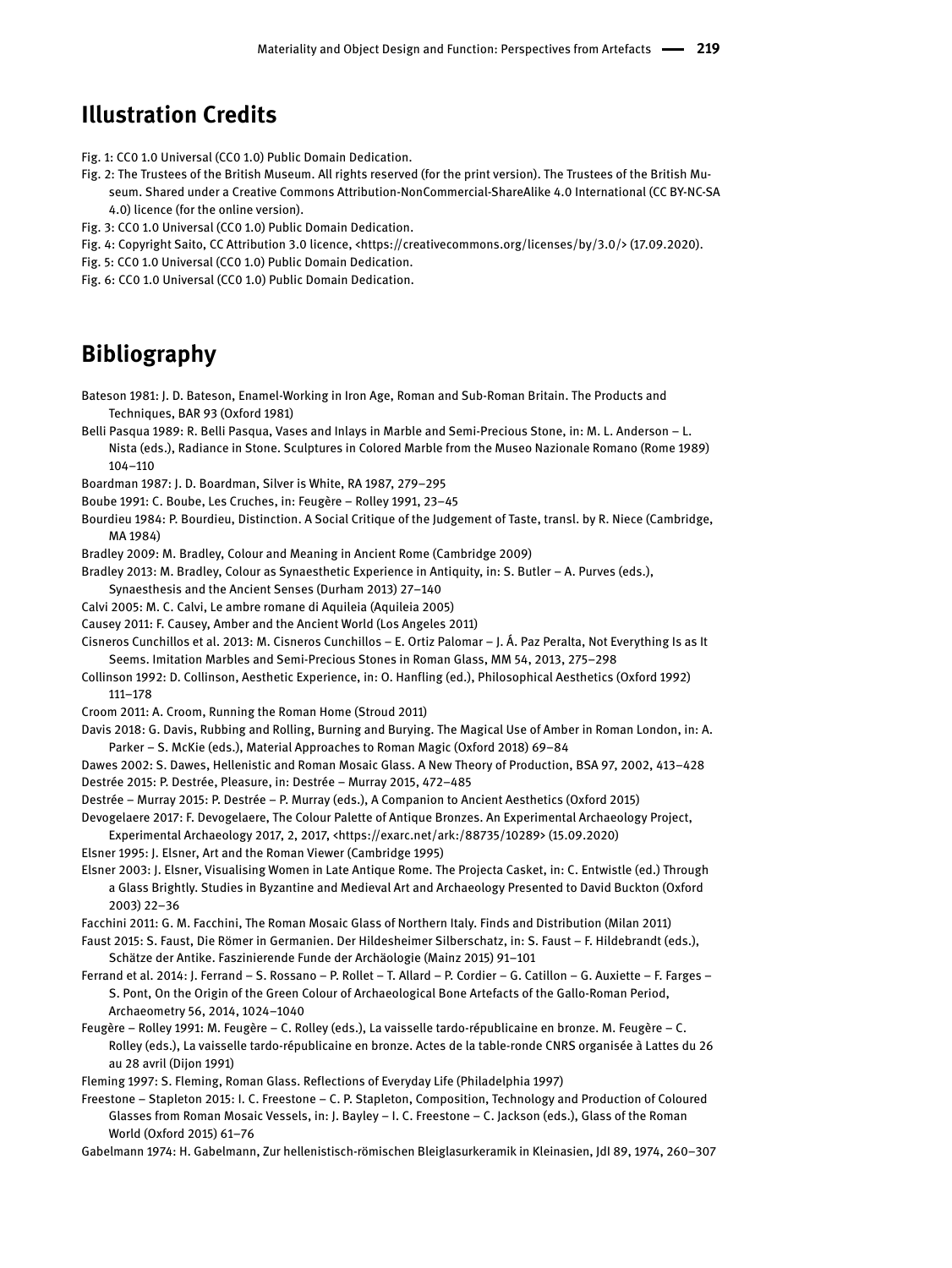#### **Illustration Credits**

Fig. 1: CC0 1.0 Universal (CC0 1.0) Public Domain Dedication.

- Fig. 2: The Trustees of the British Museum. All rights reserved (for the print version). The Trustees of the British Museum. Shared under a Creative Commons Attribution-NonCommercial-ShareAlike 4.0 International (CC BY-NC-SA 4.0) licence (for the online version).
- Fig. 3: CC0 1.0 Universal (CC0 1.0) Public Domain Dedication.
- Fig. 4: Copyright Saito, CC Attribution 3.0 licence, <<https://creativecommons.org/licenses/by/3.0>/> (17.09.2020).
- Fig. 5: CC0 1.0 Universal (CC0 1.0) Public Domain Dedication.
- Fig. 6: CC0 1.0 Universal (CC0 1.0) Public Domain Dedication.

#### **Bibliography**

Bateson 1981: J. D. Bateson, Enamel-Working in Iron Age, Roman and Sub-Roman Britain. The Products and Techniques, BAR 93 (Oxford 1981)

- Belli Pasqua 1989: R. Belli Pasqua, Vases and Inlays in Marble and Semi-Precious Stone, in: M. L. Anderson L. Nista (eds.), Radiance in Stone. Sculptures in Colored Marble from the Museo Nazionale Romano (Rome 1989) 104–110
- Boardman 1987: J. D. Boardman, Silver is White, RA 1987, 279–295
- Boube 1991: C. Boube, Les Cruches, in: Feugère Rolley 1991, 23–45
- Bourdieu 1984: P. Bourdieu, Distinction. A Social Critique of the Judgement of Taste, transl. by R. Niece (Cambridge, MA 1984)
- Bradley 2009: M. Bradley, Colour and Meaning in Ancient Rome (Cambridge 2009)
- Bradley 2013: M. Bradley, Colour as Synaesthetic Experience in Antiquity, in: S. Butler A. Purves (eds.),
- Synaesthesis and the Ancient Senses (Durham 2013) 27–140
- Calvi 2005: M. C. Calvi, Le ambre romane di Aquileia (Aquileia 2005)
- Causey 2011: F. Causey, Amber and the Ancient World (Los Angeles 2011)
- Cisneros Cunchillos et al. 2013: M. Cisneros Cunchillos E. Ortiz Palomar J. Á. Paz Peralta, Not Everything Is as It Seems. Imitation Marbles and Semi-Precious Stones in Roman Glass, MM 54, 2013, 275–298
- Collinson 1992: D. Collinson, Aesthetic Experience, in: O. Hanfling (ed.), Philosophical Aesthetics (Oxford 1992) 111–178
- Croom 2011: A. Croom, Running the Roman Home (Stroud 2011)
- Davis 2018: G. Davis, Rubbing and Rolling, Burning and Burying. The Magical Use of Amber in Roman London, in: A. Parker – S. McKie (eds.), Material Approaches to Roman Magic (Oxford 2018) 69–84
- Dawes 2002: S. Dawes, Hellenistic and Roman Mosaic Glass. A New Theory of Production, BSA 97, 2002, 413–428 Destrée 2015: P. Destrée, Pleasure, in: Destrée – Murray 2015, 472–485

Destrée – Murray 2015: P. Destrée – P. Murray (eds.), A Companion to Ancient Aesthetics (Oxford 2015)

- Devogelaere 2017: F. Devogelaere, The Colour Palette of Antique Bronzes. An Experimental Archaeology Project, Experimental Archaeology 2017, 2, 2017, <<https://exarc.net/ark:/88735/10289>> (15.09.2020)
- Elsner 1995: J. Elsner, Art and the Roman Viewer (Cambridge 1995)
- Elsner 2003: J. Elsner, Visualising Women in Late Antique Rome. The Projecta Casket, in: C. Entwistle (ed.) Through a Glass Brightly. Studies in Byzantine and Medieval Art and Archaeology Presented to David Buckton (Oxford 2003) 22–36
- Facchini 2011: G. M. Facchini, The Roman Mosaic Glass of Northern Italy. Finds and Distribution (Milan 2011)
- Faust 2015: S. Faust, Die Römer in Germanien. Der Hildesheimer Silberschatz, in: S. Faust F. Hildebrandt (eds.), Schätze der Antike. Faszinierende Funde der Archäologie (Mainz 2015) 91–101
- Ferrand et al. 2014: J. Ferrand S. Rossano P. Rollet T. Allard P. Cordier G. Catillon G. Auxiette F. Farges S. Pont, On the Origin of the Green Colour of Archaeological Bone Artefacts of the Gallo-Roman Period, Archaeometry 56, 2014, 1024–1040
- Feugère Rolley 1991: M. Feugère C. Rolley (eds.), La vaisselle tardo-républicaine en bronze. M. Feugère C. Rolley (eds.), La vaisselle tardo-républicaine en bronze. Actes de la table-ronde CNRS organisée à Lattes du 26 au 28 avril (Dijon 1991)
- Fleming 1997: S. Fleming, Roman Glass. Reflections of Everyday Life (Philadelphia 1997)
- Freestone Stapleton 2015: I. C. Freestone C. P. Stapleton, Composition, Technology and Production of Coloured Glasses from Roman Mosaic Vessels, in: J. Bayley – I. C. Freestone – C. Jackson (eds.), Glass of the Roman World (Oxford 2015) 61–76
- Gabelmann 1974: H. Gabelmann, Zur hellenistisch-römischen Bleiglasurkeramik in Kleinasien, JdI 89, 1974, 260–307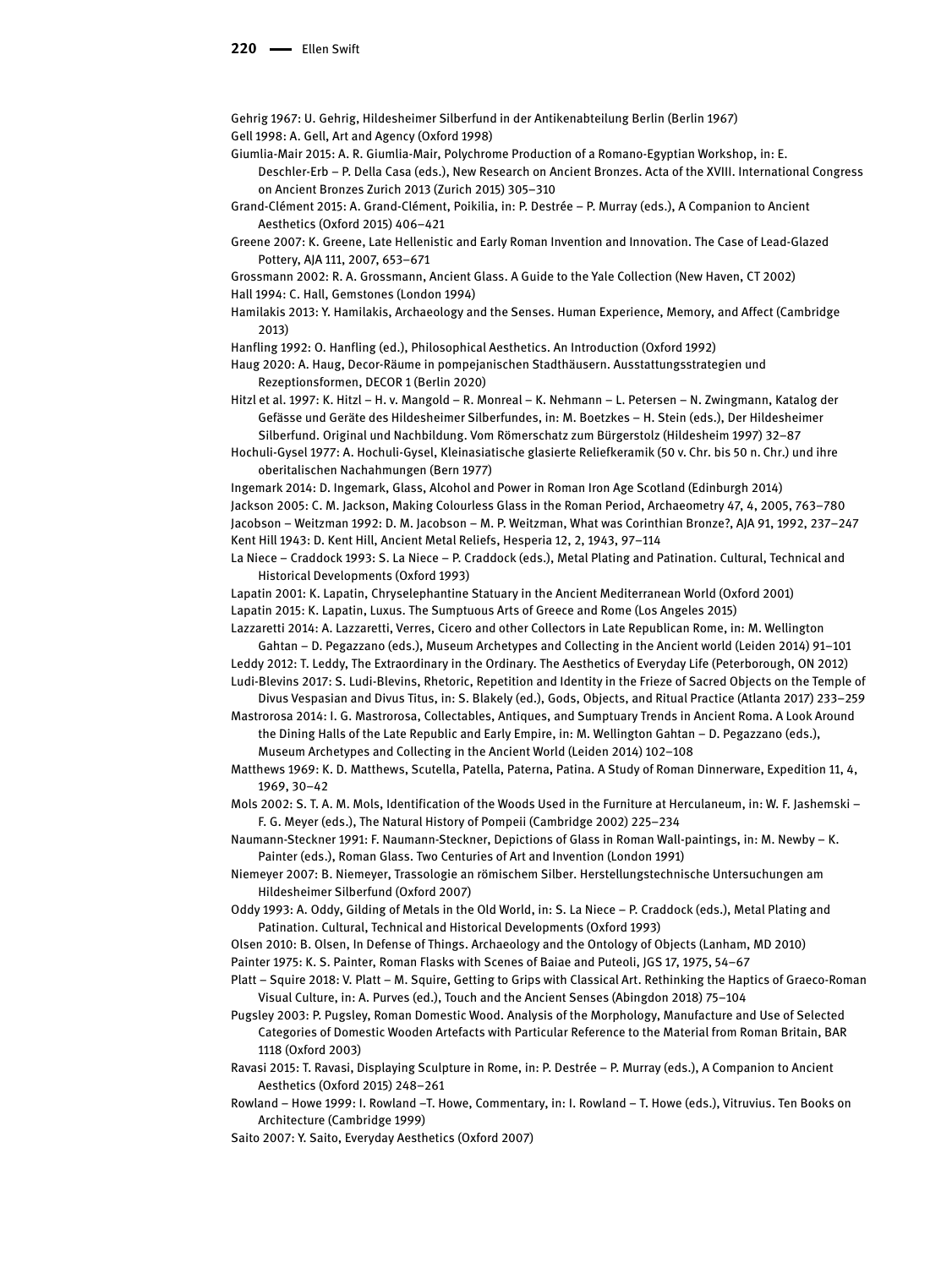#### 220 **- Ellen Swift**

Gehrig 1967: U. Gehrig, Hildesheimer Silberfund in der Antikenabteilung Berlin (Berlin 1967) Gell 1998: A. Gell, Art and Agency (Oxford 1998)

Giumlia-Mair 2015: A. R. Giumlia-Mair, Polychrome Production of a Romano-Egyptian Workshop, in: E.

Deschler-Erb – P. Della Casa (eds.), New Research on Ancient Bronzes. Acta of the XVIII. International Congress on Ancient Bronzes Zurich 2013 (Zurich 2015) 305–310

Grand-Clément 2015: A. Grand-Clément, Poikilia, in: P. Destrée – P. Murray (eds.), A Companion to Ancient Aesthetics (Oxford 2015) 406–421

Greene 2007: K. Greene, Late Hellenistic and Early Roman Invention and Innovation. The Case of Lead-Glazed Pottery, AJA 111, 2007, 653–671

Grossmann 2002: R. A. Grossmann, Ancient Glass. A Guide to the Yale Collection (New Haven, CT 2002) Hall 1994: C. Hall, Gemstones (London 1994)

Hamilakis 2013: Y. Hamilakis, Archaeology and the Senses. Human Experience, Memory, and Affect (Cambridge 2013)

Hanfling 1992: O. Hanfling (ed.), Philosophical Aesthetics. An Introduction (Oxford 1992)

Haug 2020: A. Haug, Decor-Räume in pompejanischen Stadthäusern. Ausstattungsstrategien und Rezeptionsformen, DECOR 1 (Berlin 2020)

Hitzl et al. 1997: K. Hitzl – H. v. Mangold – R. Monreal – K. Nehmann – L. Petersen – N. Zwingmann, Katalog der Gefässe und Geräte des Hildesheimer Silberfundes, in: M. Boetzkes – H. Stein (eds.), Der Hildesheimer Silberfund. Original und Nachbildung. Vom Römerschatz zum Bürgerstolz (Hildesheim 1997) 32–87

Hochuli-Gysel 1977: A. Hochuli-Gysel, Kleinasiatische glasierte Reliefkeramik (50 v. Chr. bis 50 n. Chr.) und ihre oberitalischen Nachahmungen (Bern 1977)

Ingemark 2014: D. Ingemark, Glass, Alcohol and Power in Roman Iron Age Scotland (Edinburgh 2014) Jackson 2005: C. M. Jackson, Making Colourless Glass in the Roman Period, Archaeometry 47, 4, 2005, 763–780 Jacobson – Weitzman 1992: D. M. Jacobson – M. P. Weitzman, What was Corinthian Bronze?, AJA 91, 1992, 237–247 Kent Hill 1943: D. Kent Hill, Ancient Metal Reliefs, Hesperia 12, 2, 1943, 97–114

La Niece – Craddock 1993: S. La Niece – P. Craddock (eds.), Metal Plating and Patination. Cultural, Technical and Historical Developments (Oxford 1993)

Lapatin 2001: K. Lapatin, Chryselephantine Statuary in the Ancient Mediterranean World (Oxford 2001) Lapatin 2015: K. Lapatin, Luxus. The Sumptuous Arts of Greece and Rome (Los Angeles 2015)

Lazzaretti 2014: A. Lazzaretti, Verres, Cicero and other Collectors in Late Republican Rome, in: M. Wellington

Gahtan – D. Pegazzano (eds.), Museum Archetypes and Collecting in the Ancient world (Leiden 2014) 91–101 Leddy 2012: T. Leddy, The Extraordinary in the Ordinary. The Aesthetics of Everyday Life (Peterborough, ON 2012)

Ludi-Blevins 2017: S. Ludi-Blevins, Rhetoric, Repetition and Identity in the Frieze of Sacred Objects on the Temple of Divus Vespasian and Divus Titus, in: S. Blakely (ed.), Gods, Objects, and Ritual Practice (Atlanta 2017) 233–259

Mastrorosa 2014: I. G. Mastrorosa, Collectables, Antiques, and Sumptuary Trends in Ancient Roma. A Look Around the Dining Halls of the Late Republic and Early Empire, in: M. Wellington Gahtan – D. Pegazzano (eds.), Museum Archetypes and Collecting in the Ancient World (Leiden 2014) 102–108

Matthews 1969: K. D. Matthews, Scutella, Patella, Paterna, Patina. A Study of Roman Dinnerware, Expedition 11, 4, 1969, 30–42

Mols 2002: S. T. A. M. Mols, Identification of the Woods Used in the Furniture at Herculaneum, in: W. F. Jashemski – F. G. Meyer (eds.), The Natural History of Pompeii (Cambridge 2002) 225–234

Naumann-Steckner 1991: F. Naumann-Steckner, Depictions of Glass in Roman Wall-paintings, in: M. Newby – K. Painter (eds.), Roman Glass. Two Centuries of Art and Invention (London 1991)

Niemeyer 2007: B. Niemeyer, Trassologie an römischem Silber. Herstellungstechnische Untersuchungen am Hildesheimer Silberfund (Oxford 2007)

Oddy 1993: A. Oddy, Gilding of Metals in the Old World, in: S. La Niece – P. Craddock (eds.), Metal Plating and Patination. Cultural, Technical and Historical Developments (Oxford 1993)

Olsen 2010: B. Olsen, In Defense of Things. Archaeology and the Ontology of Objects (Lanham, MD 2010) Painter 1975: K. S. Painter, Roman Flasks with Scenes of Baiae and Puteoli, JGS 17, 1975, 54–67

Platt – Squire 2018: V. Platt – M. Squire, Getting to Grips with Classical Art. Rethinking the Haptics of Graeco-Roman

Visual Culture, in: A. Purves (ed.), Touch and the Ancient Senses (Abingdon 2018) 75–104 Pugsley 2003: P. Pugsley, Roman Domestic Wood. Analysis of the Morphology, Manufacture and Use of Selected Categories of Domestic Wooden Artefacts with Particular Reference to the Material from Roman Britain, BAR

1118 (Oxford 2003) Ravasi 2015: T. Ravasi, Displaying Sculpture in Rome, in: P. Destrée – P. Murray (eds.), A Companion to Ancient Aesthetics (Oxford 2015) 248–261

Rowland – Howe 1999: I. Rowland –T. Howe, Commentary, in: I. Rowland – T. Howe (eds.), Vitruvius. Ten Books on Architecture (Cambridge 1999)

Saito 2007: Y. Saito, Everyday Aesthetics (Oxford 2007)